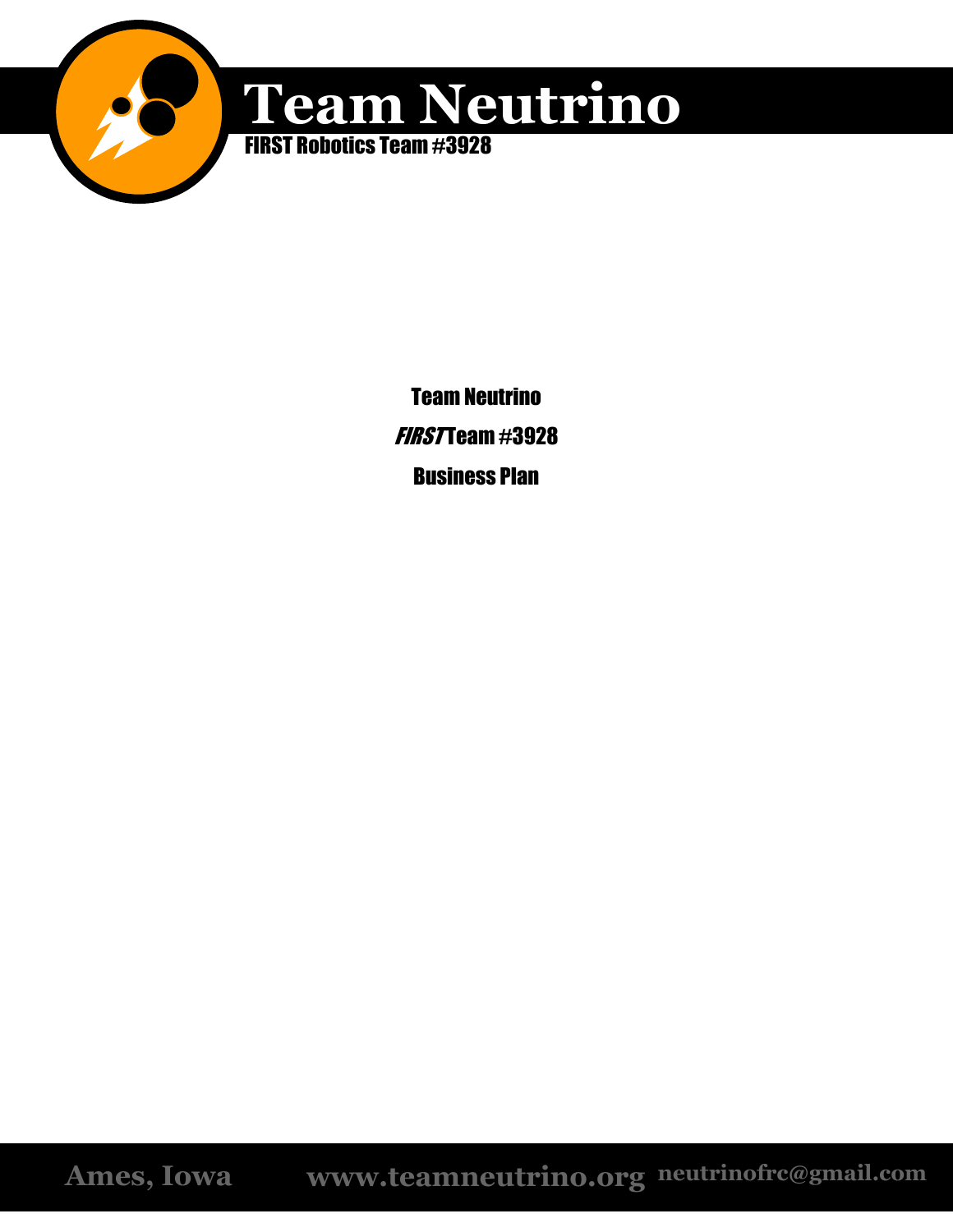

# **Team Neutrino**

FIRST Robotics Team #3928

Team Neutrino  $FIRST$  cam  $\#3928$ Business Plan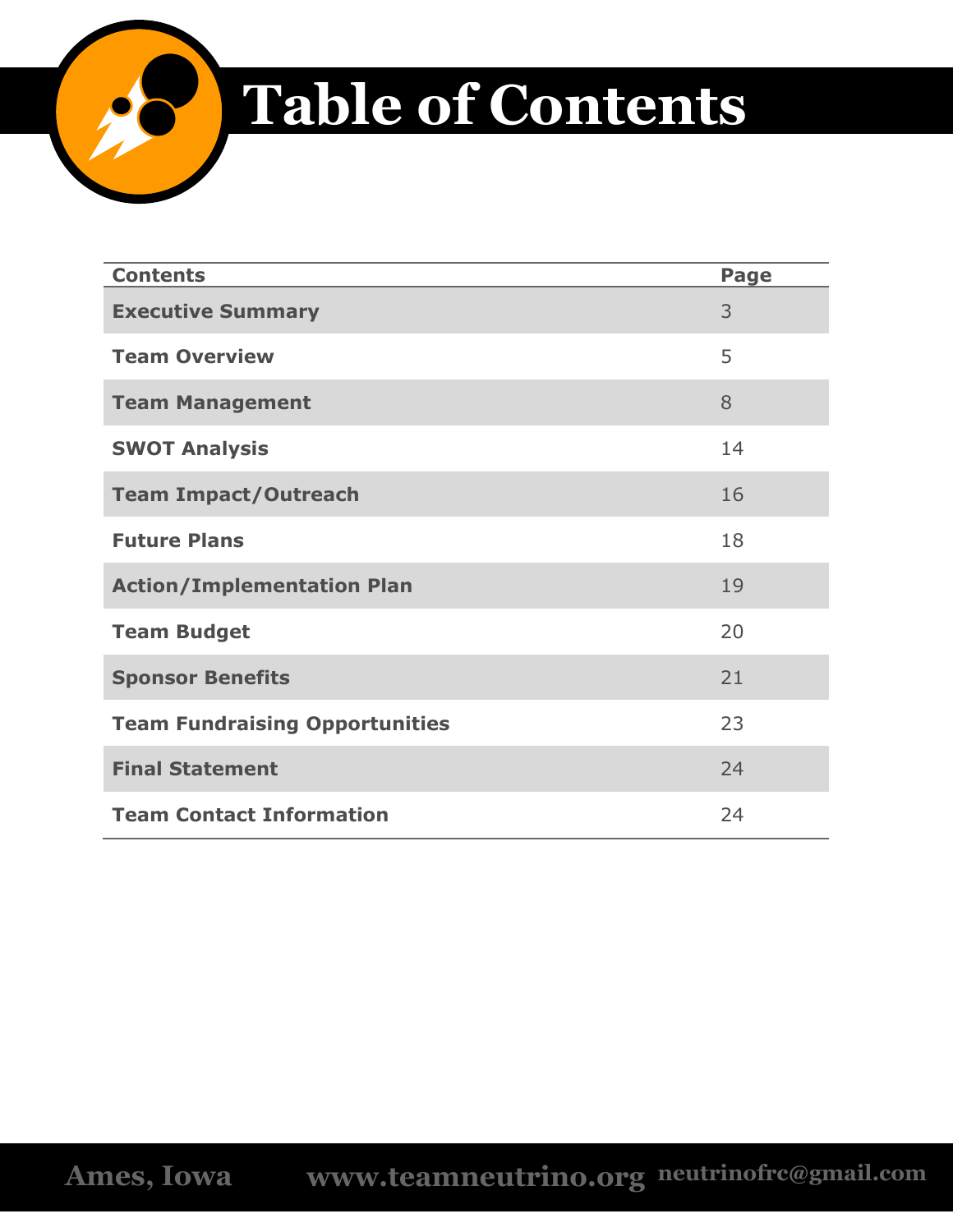

# **Table of Contents**

| <b>Contents</b>                       | Page |
|---------------------------------------|------|
| <b>Executive Summary</b>              | 3    |
| <b>Team Overview</b>                  | 5    |
| <b>Team Management</b>                | 8    |
| <b>SWOT Analysis</b>                  | 14   |
| <b>Team Impact/Outreach</b>           | 16   |
| <b>Future Plans</b>                   | 18   |
| <b>Action/Implementation Plan</b>     | 19   |
| <b>Team Budget</b>                    | 20   |
| <b>Sponsor Benefits</b>               | 21   |
| <b>Team Fundraising Opportunities</b> | 23   |
| <b>Final Statement</b>                | 24   |
| <b>Team Contact Information</b>       | 24   |

**Ames, Iowa www.teamneutrino.org neutrinofrc@gmail.com**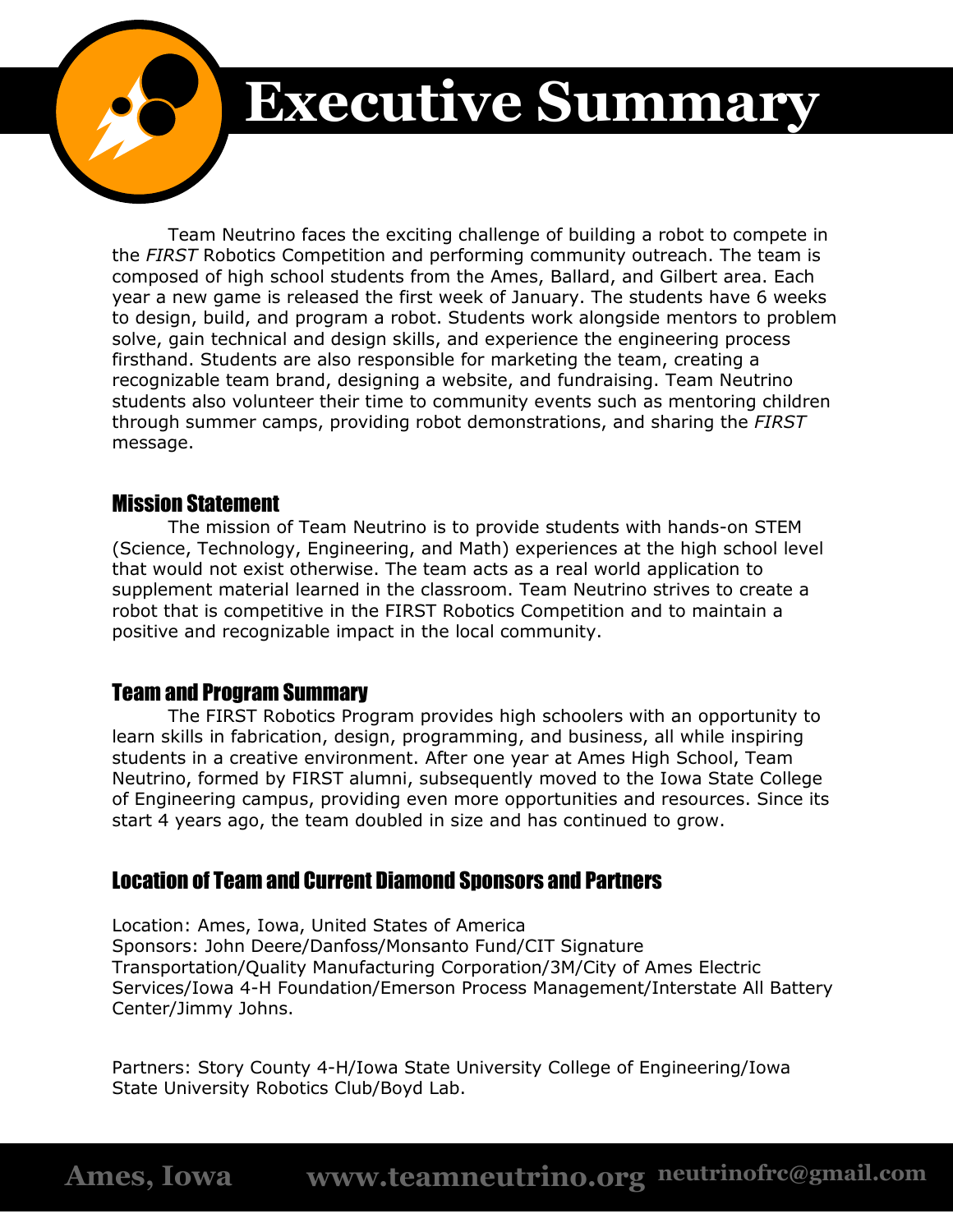

# **Executive Summary**

Team Neutrino faces the exciting challenge of building a robot to compete in the *FIRST* Robotics Competition and performing community outreach. The team is composed of high school students from the Ames, Ballard, and Gilbert area. Each year a new game is released the first week of January. The students have 6 weeks to design, build, and program a robot. Students work alongside mentors to problem solve, gain technical and design skills, and experience the engineering process firsthand. Students are also responsible for marketing the team, creating a recognizable team brand, designing a website, and fundraising. Team Neutrino students also volunteer their time to community events such as mentoring children through summer camps, providing robot demonstrations, and sharing the *FIRST*  message.

## Mission Statement

The mission of Team Neutrino is to provide students with hands-on STEM (Science, Technology, Engineering, and Math) experiences at the high school level that would not exist otherwise. The team acts as a real world application to supplement material learned in the classroom. Team Neutrino strives to create a robot that is competitive in the FIRST Robotics Competition and to maintain a positive and recognizable impact in the local community.

## Team and Program Summary

The FIRST Robotics Program provides high schoolers with an opportunity to learn skills in fabrication, design, programming, and business, all while inspiring students in a creative environment. After one year at Ames High School, Team Neutrino, formed by FIRST alumni, subsequently moved to the Iowa State College of Engineering campus, providing even more opportunities and resources. Since its start 4 years ago, the team doubled in size and has continued to grow.

# Location of Team and Current Diamond Sponsors and Partners

Location: Ames, Iowa, United States of America Sponsors: John Deere/Danfoss/Monsanto Fund/CIT Signature Transportation/Quality Manufacturing Corporation/3M/City of Ames Electric Services/Iowa 4-H Foundation/Emerson Process Management/Interstate All Battery Center/Jimmy Johns.

Partners: Story County 4-H/Iowa State University College of Engineering/Iowa State University Robotics Club/Boyd Lab.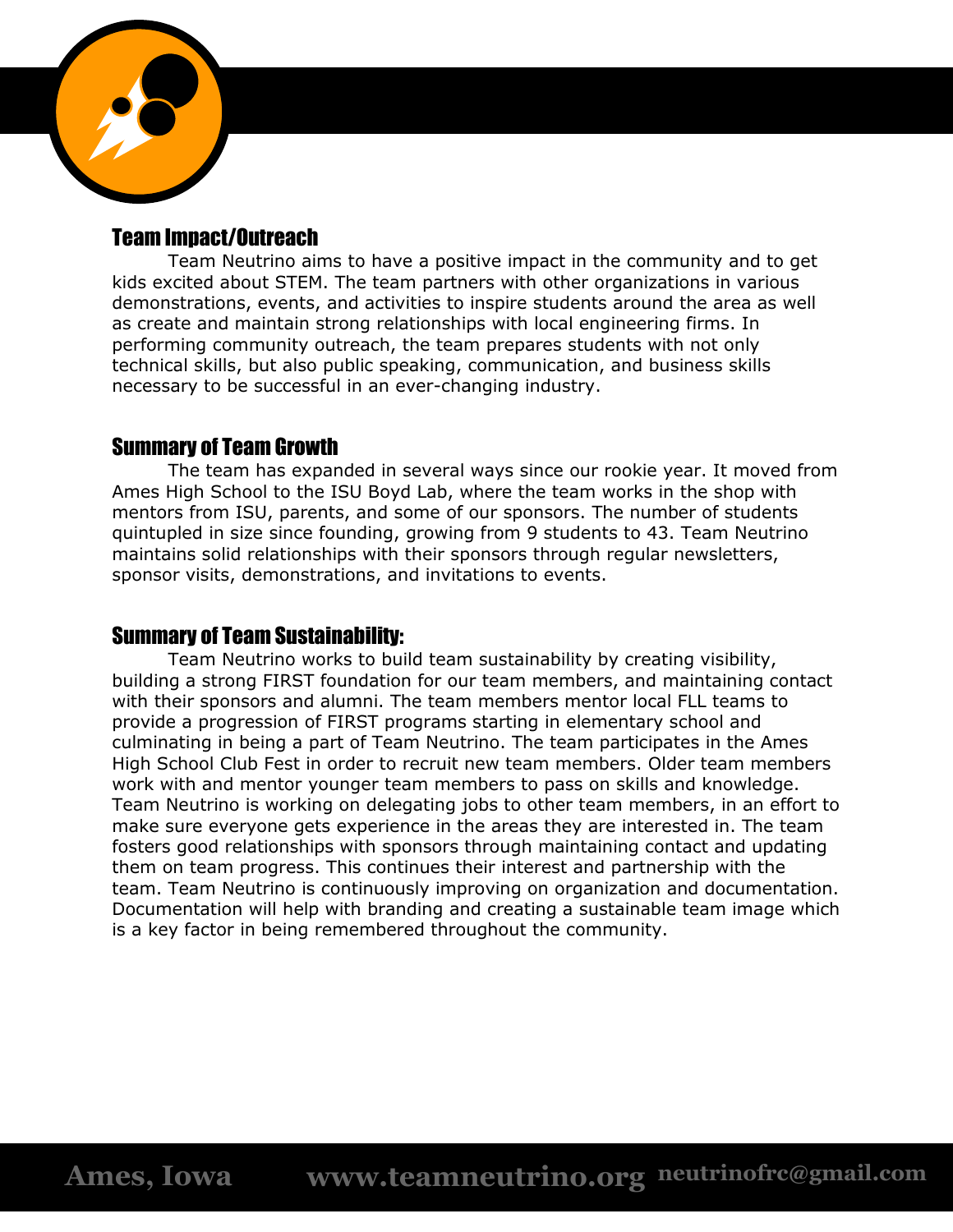

## Team Impact/Outreach

Team Neutrino aims to have a positive impact in the community and to get kids excited about STEM. The team partners with other organizations in various demonstrations, events, and activities to inspire students around the area as well as create and maintain strong relationships with local engineering firms. In performing community outreach, the team prepares students with not only technical skills, but also public speaking, communication, and business skills necessary to be successful in an ever-changing industry.

### Summary of Team Growth

The team has expanded in several ways since our rookie year. It moved from Ames High School to the ISU Boyd Lab, where the team works in the shop with mentors from ISU, parents, and some of our sponsors. The number of students quintupled in size since founding, growing from 9 students to 43. Team Neutrino maintains solid relationships with their sponsors through regular newsletters, sponsor visits, demonstrations, and invitations to events.

## Summary of Team Sustainability:

Team Neutrino works to build team sustainability by creating visibility, building a strong FIRST foundation for our team members, and maintaining contact with their sponsors and alumni. The team members mentor local FLL teams to provide a progression of FIRST programs starting in elementary school and culminating in being a part of Team Neutrino. The team participates in the Ames High School Club Fest in order to recruit new team members. Older team members work with and mentor younger team members to pass on skills and knowledge. Team Neutrino is working on delegating jobs to other team members, in an effort to make sure everyone gets experience in the areas they are interested in. The team fosters good relationships with sponsors through maintaining contact and updating them on team progress. This continues their interest and partnership with the team. Team Neutrino is continuously improving on organization and documentation. Documentation will help with branding and creating a sustainable team image which is a key factor in being remembered throughout the community.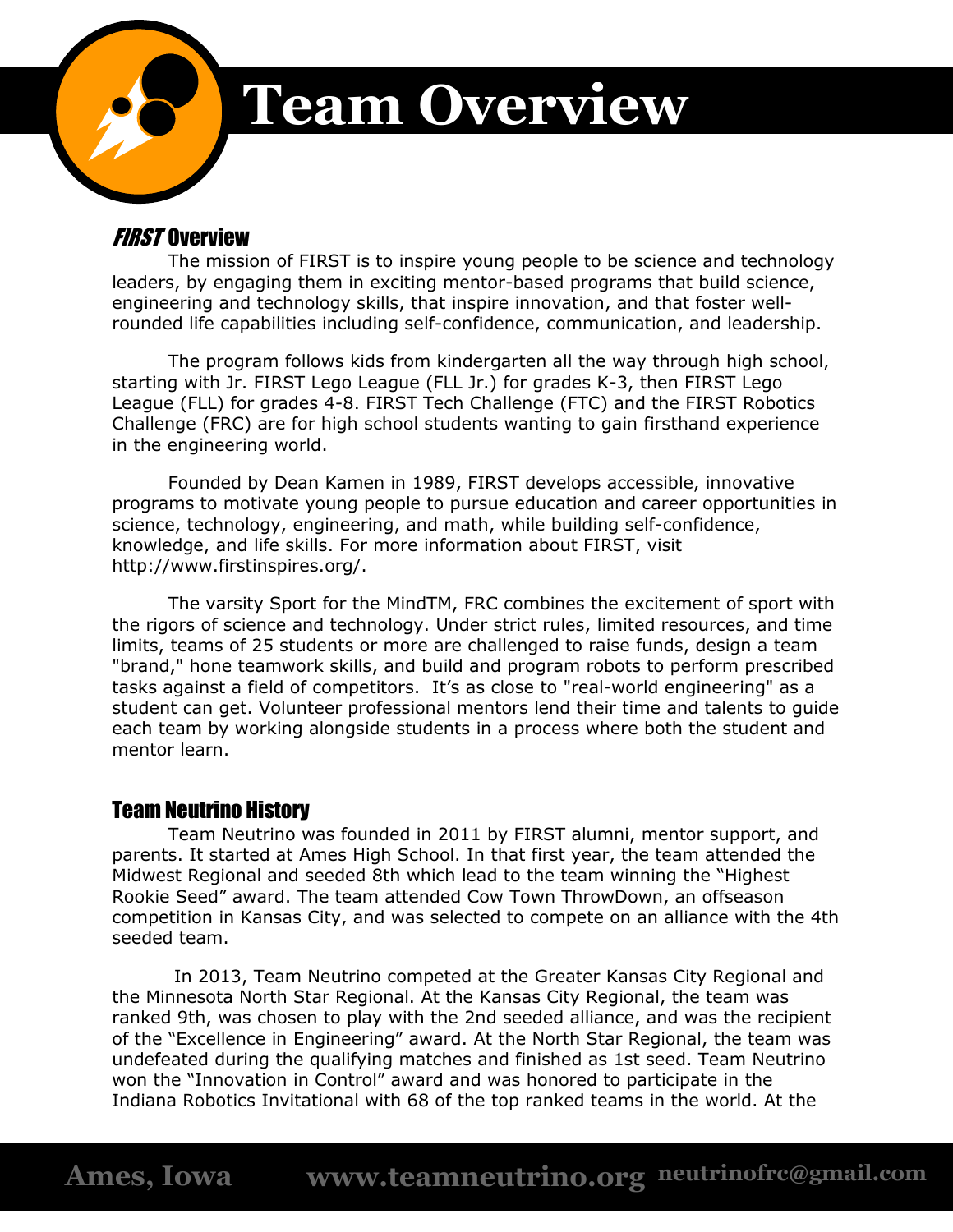

# **Team Overview**

## **FIRST Overview**

The mission of FIRST is to inspire young people to be science and technology leaders, by engaging them in exciting mentor-based programs that build science, engineering and technology skills, that inspire innovation, and that foster wellrounded life capabilities including self-confidence, communication, and leadership.

The program follows kids from kindergarten all the way through high school, starting with Jr. FIRST Lego League (FLL Jr.) for grades K-3, then FIRST Lego League (FLL) for grades 4-8. FIRST Tech Challenge (FTC) and the FIRST Robotics Challenge (FRC) are for high school students wanting to gain firsthand experience in the engineering world.

Founded by Dean Kamen in 1989, FIRST develops accessible, innovative programs to motivate young people to pursue education and career opportunities in science, technology, engineering, and math, while building self-confidence, knowledge, and life skills. For more information about FIRST, visit http://www.firstinspires.org/.

The varsity Sport for the MindTM, FRC combines the excitement of sport with the rigors of science and technology. Under strict rules, limited resources, and time limits, teams of 25 students or more are challenged to raise funds, design a team "brand," hone teamwork skills, and build and program robots to perform prescribed tasks against a field of competitors. It's as close to "real-world engineering" as a student can get. Volunteer professional mentors lend their time and talents to guide each team by working alongside students in a process where both the student and mentor learn.

## Team Neutrino History

Team Neutrino was founded in 2011 by FIRST alumni, mentor support, and parents. It started at Ames High School. In that first year, the team attended the Midwest Regional and seeded 8th which lead to the team winning the "Highest Rookie Seed" award. The team attended Cow Town ThrowDown, an offseason competition in Kansas City, and was selected to compete on an alliance with the 4th seeded team.

In 2013, Team Neutrino competed at the Greater Kansas City Regional and the Minnesota North Star Regional. At the Kansas City Regional, the team was ranked 9th, was chosen to play with the 2nd seeded alliance, and was the recipient of the "Excellence in Engineering" award. At the North Star Regional, the team was undefeated during the qualifying matches and finished as 1st seed. Team Neutrino won the "Innovation in Control" award and was honored to participate in the Indiana Robotics Invitational with 68 of the top ranked teams in the world. At the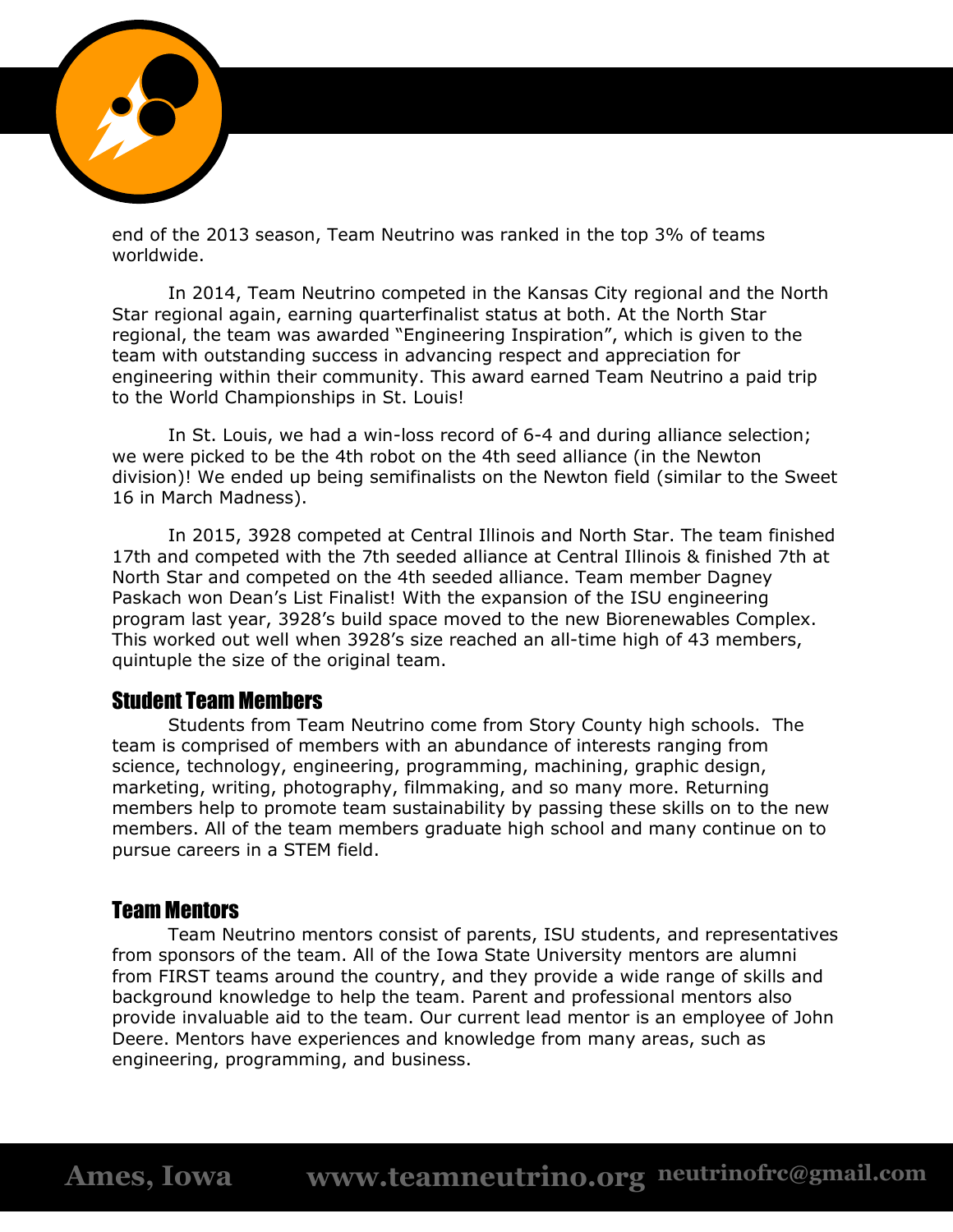

end of the 2013 season, Team Neutrino was ranked in the top 3% of teams worldwide.

In 2014, Team Neutrino competed in the Kansas City regional and the North Star regional again, earning quarterfinalist status at both. At the North Star regional, the team was awarded "Engineering Inspiration", which is given to the team with outstanding success in advancing respect and appreciation for engineering within their community. This award earned Team Neutrino a paid trip to the World Championships in St. Louis!

In St. Louis, we had a win-loss record of 6-4 and during alliance selection; we were picked to be the 4th robot on the 4th seed alliance (in the Newton division)! We ended up being semifinalists on the Newton field (similar to the Sweet 16 in March Madness).

In 2015, 3928 competed at Central Illinois and North Star. The team finished 17th and competed with the 7th seeded alliance at Central Illinois & finished 7th at North Star and competed on the 4th seeded alliance. Team member Dagney Paskach won Dean's List Finalist! With the expansion of the ISU engineering program last year, 3928's build space moved to the new Biorenewables Complex. This worked out well when 3928's size reached an all-time high of 43 members, quintuple the size of the original team.

#### Student Team Members

Students from Team Neutrino come from Story County high schools. The team is comprised of members with an abundance of interests ranging from science, technology, engineering, programming, machining, graphic design, marketing, writing, photography, filmmaking, and so many more. Returning members help to promote team sustainability by passing these skills on to the new members. All of the team members graduate high school and many continue on to pursue careers in a STEM field.

#### Team Mentors

Team Neutrino mentors consist of parents, ISU students, and representatives from sponsors of the team. All of the Iowa State University mentors are alumni from FIRST teams around the country, and they provide a wide range of skills and background knowledge to help the team. Parent and professional mentors also provide invaluable aid to the team. Our current lead mentor is an employee of John Deere. Mentors have experiences and knowledge from many areas, such as engineering, programming, and business.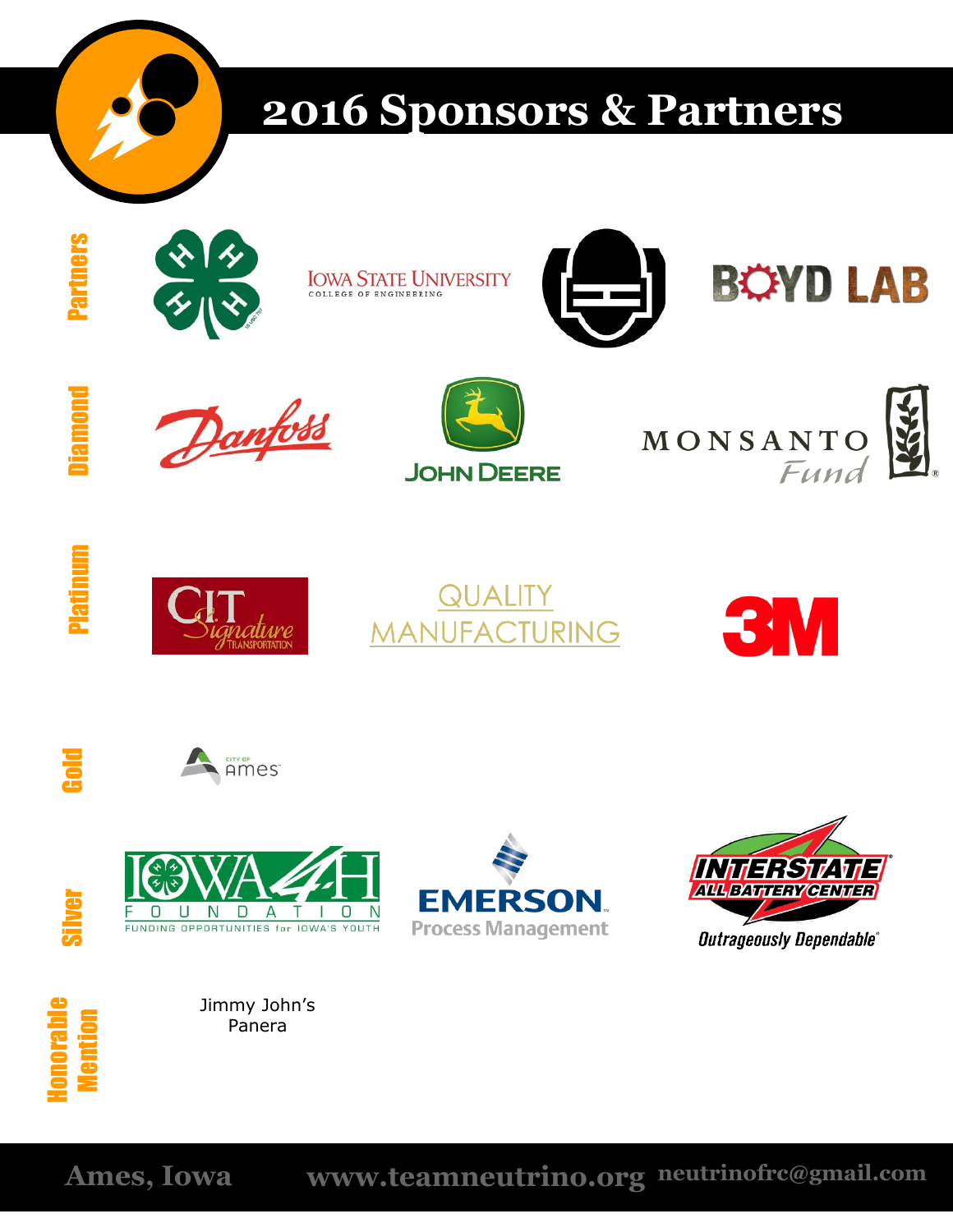

# **2016 Sponsors & Partners**







Platinum





















Silver

Jimmy John's Panera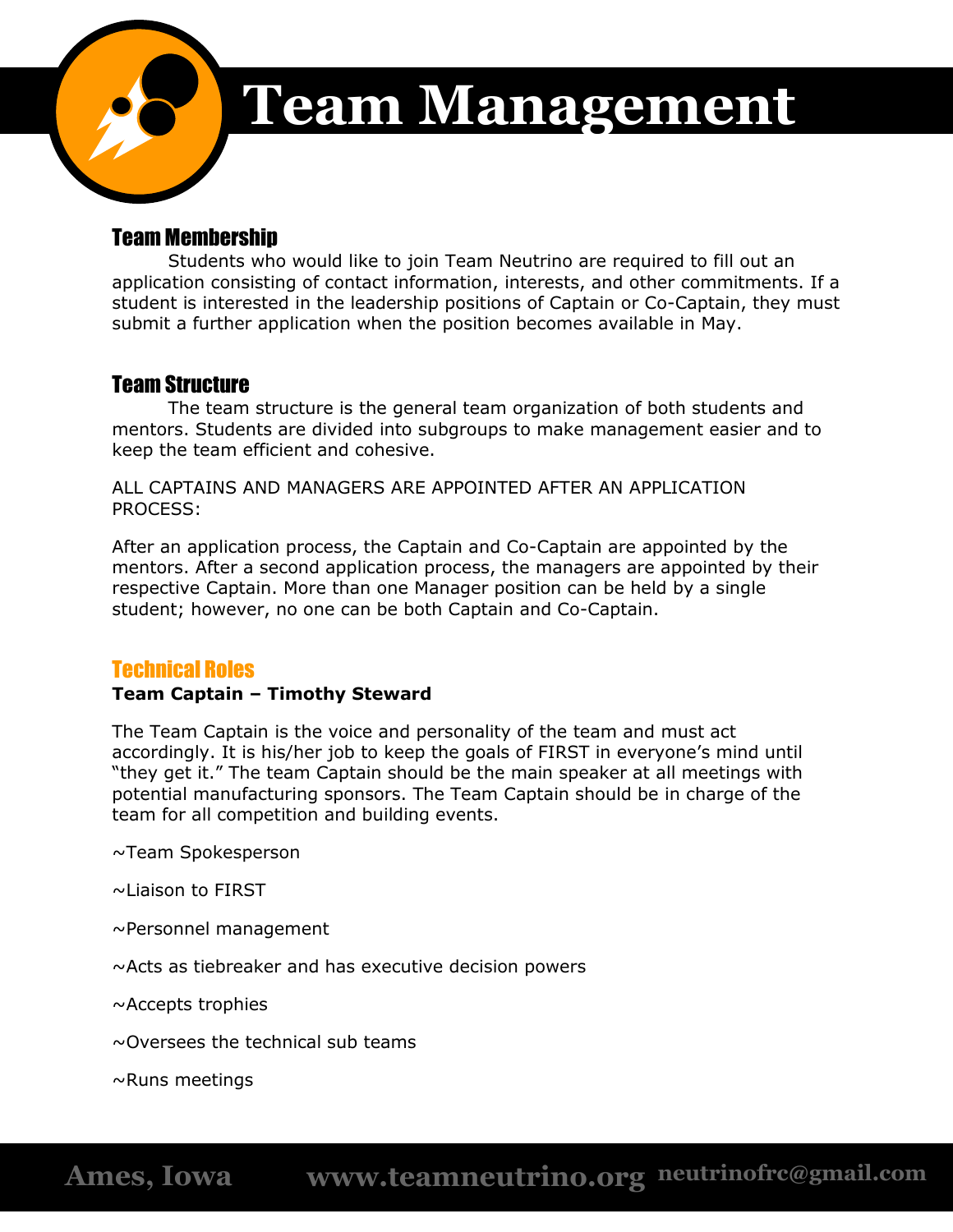

# **Team Management**

## Team Membership

Students who would like to join Team Neutrino are required to fill out an application consisting of contact information, interests, and other commitments. If a student is interested in the leadership positions of Captain or Co-Captain, they must submit a further application when the position becomes available in May.

## Team Structure

The team structure is the general team organization of both students and mentors. Students are divided into subgroups to make management easier and to keep the team efficient and cohesive.

ALL CAPTAINS AND MANAGERS ARE APPOINTED AFTER AN APPLICATION PROCESS:

After an application process, the Captain and Co-Captain are appointed by the mentors. After a second application process, the managers are appointed by their respective Captain. More than one Manager position can be held by a single student; however, no one can be both Captain and Co-Captain.

## Technical Roles

#### **Team Captain – Timothy Steward**

The Team Captain is the voice and personality of the team and must act accordingly. It is his/her job to keep the goals of FIRST in everyone's mind until "they get it." The team Captain should be the main speaker at all meetings with potential manufacturing sponsors. The Team Captain should be in charge of the team for all competition and building events.

~Team Spokesperson

~Liaison to FIRST

- ~Personnel management
- ~Acts as tiebreaker and has executive decision powers

~Accepts trophies

 $\sim$ Oversees the technical sub teams

 $\sim$ Runs meetings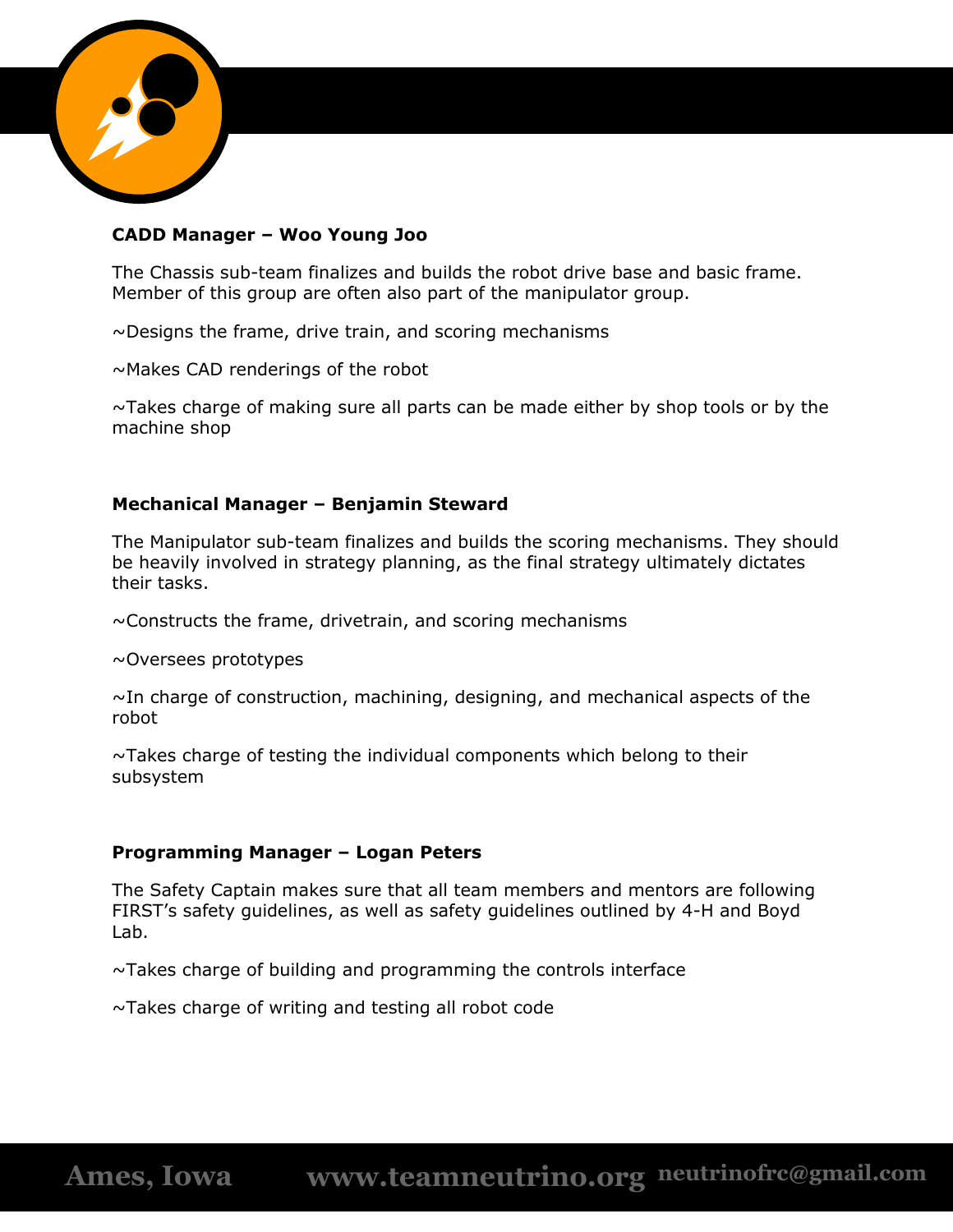

#### **CADD Manager – Woo Young Joo**

The Chassis sub-team finalizes and builds the robot drive base and basic frame. Member of this group are often also part of the manipulator group.

 $\sim$ Designs the frame, drive train, and scoring mechanisms

~Makes CAD renderings of the robot

 $\sim$ Takes charge of making sure all parts can be made either by shop tools or by the machine shop

#### **Mechanical Manager – Benjamin Steward**

The Manipulator sub-team finalizes and builds the scoring mechanisms. They should be heavily involved in strategy planning, as the final strategy ultimately dictates their tasks.

 $\sim$ Constructs the frame, drivetrain, and scoring mechanisms

~Oversees prototypes

 $\sim$ In charge of construction, machining, designing, and mechanical aspects of the robot

 $\sim$ Takes charge of testing the individual components which belong to their subsystem

#### **Programming Manager – Logan Peters**

The Safety Captain makes sure that all team members and mentors are following FIRST's safety guidelines, as well as safety guidelines outlined by 4-H and Boyd Lab.

 $\sim$ Takes charge of building and programming the controls interface

~Takes charge of writing and testing all robot code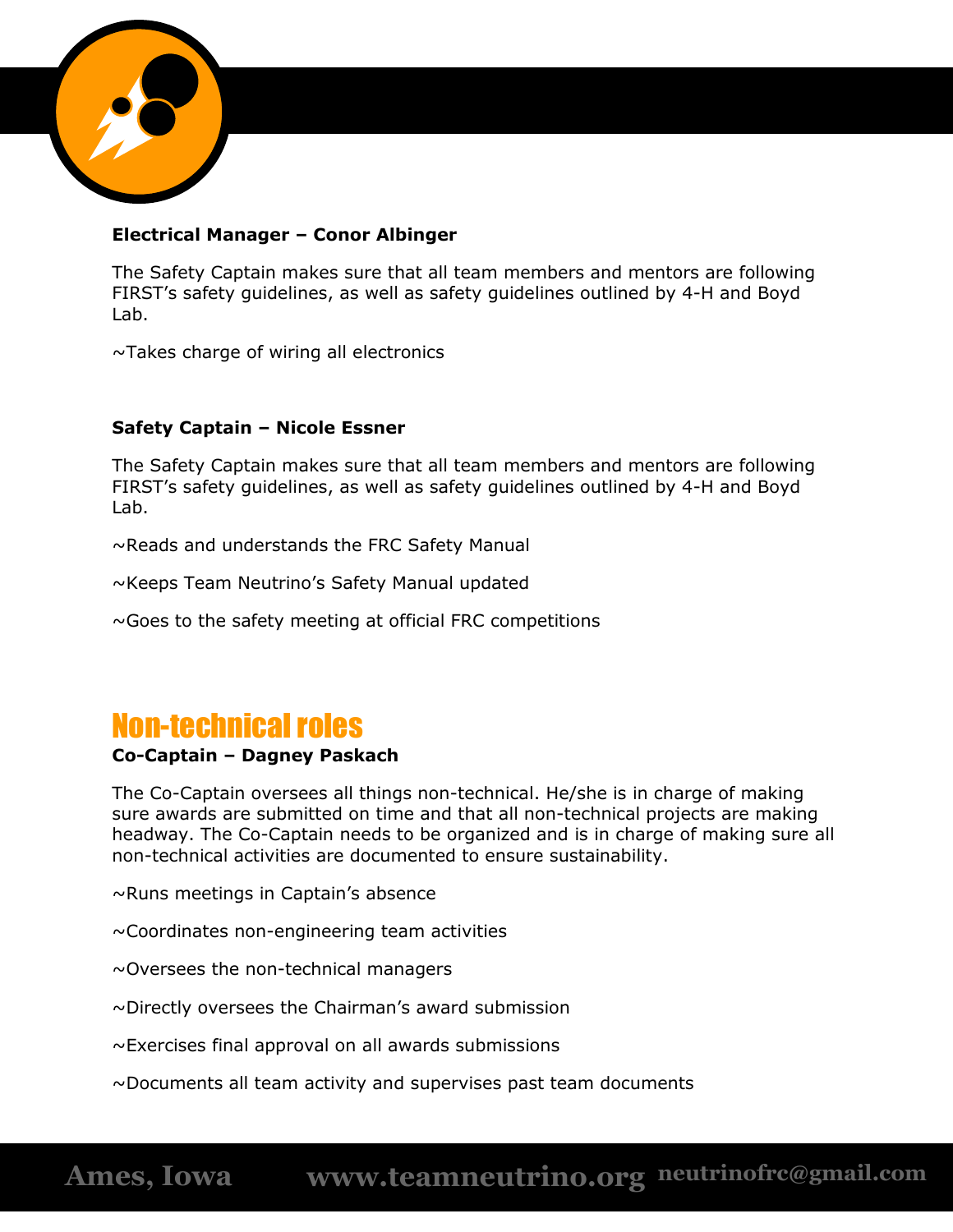

#### **Electrical Manager – Conor Albinger**

The Safety Captain makes sure that all team members and mentors are following FIRST's safety guidelines, as well as safety guidelines outlined by 4-H and Boyd Lab.

~Takes charge of wiring all electronics

#### **Safety Captain – Nicole Essner**

The Safety Captain makes sure that all team members and mentors are following FIRST's safety guidelines, as well as safety guidelines outlined by 4-H and Boyd Lab.

~Reads and understands the FRC Safety Manual

~Keeps Team Neutrino's Safety Manual updated

 $\sim$  Goes to the safety meeting at official FRC competitions

# Non-technical roles

#### **Co-Captain – Dagney Paskach**

The Co-Captain oversees all things non-technical. He/she is in charge of making sure awards are submitted on time and that all non-technical projects are making headway. The Co-Captain needs to be organized and is in charge of making sure all non-technical activities are documented to ensure sustainability.

~Runs meetings in Captain's absence

~Coordinates non-engineering team activities

~Oversees the non-technical managers

~Directly oversees the Chairman's award submission

~Exercises final approval on all awards submissions

~Documents all team activity and supervises past team documents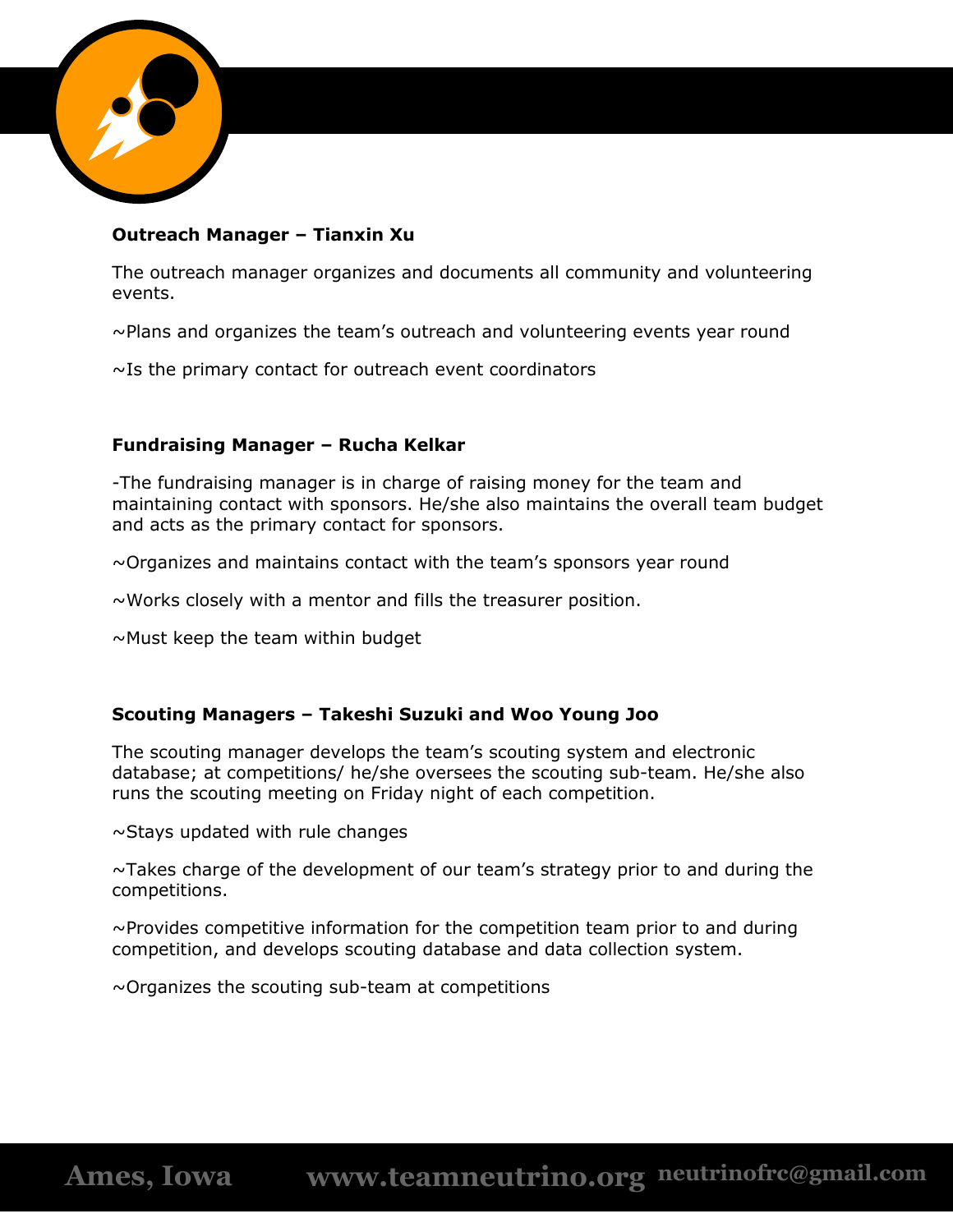

#### **Outreach Manager – Tianxin Xu**

The outreach manager organizes and documents all community and volunteering events.

 $\sim$ Plans and organizes the team's outreach and volunteering events year round

 $\sim$ Is the primary contact for outreach event coordinators

#### **Fundraising Manager – Rucha Kelkar**

-The fundraising manager is in charge of raising money for the team and maintaining contact with sponsors. He/she also maintains the overall team budget and acts as the primary contact for sponsors.

 $\sim$ Organizes and maintains contact with the team's sponsors year round

 $\sim$ Works closely with a mentor and fills the treasurer position.

 $\sim$ Must keep the team within budget

#### **Scouting Managers – Takeshi Suzuki and Woo Young Joo**

The scouting manager develops the team's scouting system and electronic database; at competitions/ he/she oversees the scouting sub-team. He/she also runs the scouting meeting on Friday night of each competition.

 $\sim$ Stays updated with rule changes

 $\sim$ Takes charge of the development of our team's strategy prior to and during the competitions.

 $\sim$ Provides competitive information for the competition team prior to and during competition, and develops scouting database and data collection system.

 $\sim$ Organizes the scouting sub-team at competitions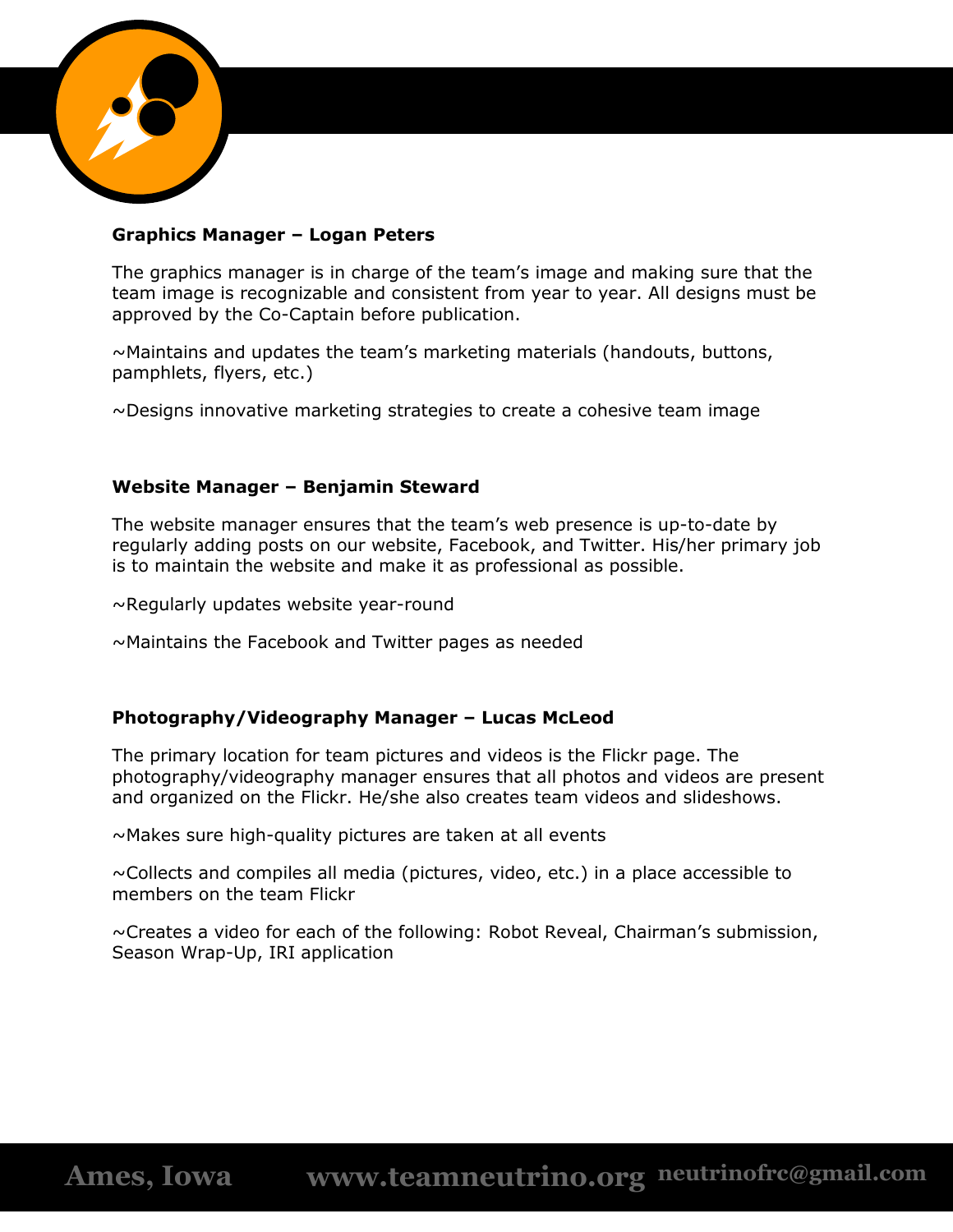

#### **Graphics Manager – Logan Peters**

The graphics manager is in charge of the team's image and making sure that the team image is recognizable and consistent from year to year. All designs must be approved by the Co-Captain before publication.

 $\sim$ Maintains and updates the team's marketing materials (handouts, buttons, pamphlets, flyers, etc.)

 $\sim$ Designs innovative marketing strategies to create a cohesive team image

#### **Website Manager – Benjamin Steward**

The website manager ensures that the team's web presence is up-to-date by regularly adding posts on our website, Facebook, and Twitter. His/her primary job is to maintain the website and make it as professional as possible.

~Regularly updates website year-round

~Maintains the Facebook and Twitter pages as needed

#### **Photography/Videography Manager – Lucas McLeod**

The primary location for team pictures and videos is the Flickr page. The photography/videography manager ensures that all photos and videos are present and organized on the Flickr. He/she also creates team videos and slideshows.

~Makes sure high-quality pictures are taken at all events

 $\sim$ Collects and compiles all media (pictures, video, etc.) in a place accessible to members on the team Flickr

~Creates a video for each of the following: Robot Reveal, Chairman's submission, Season Wrap-Up, IRI application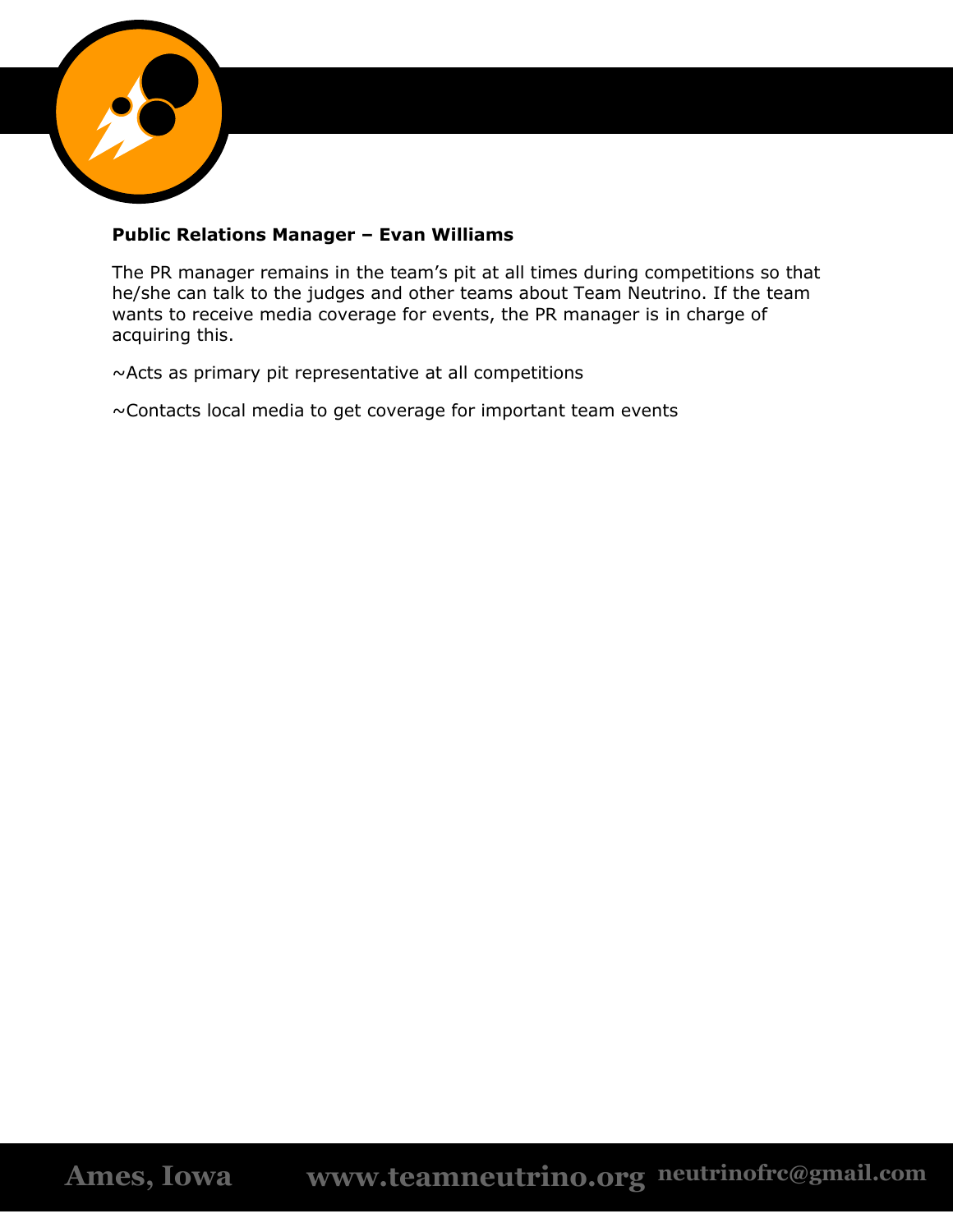

#### **Public Relations Manager – Evan Williams**

The PR manager remains in the team's pit at all times during competitions so that he/she can talk to the judges and other teams about Team Neutrino. If the team wants to receive media coverage for events, the PR manager is in charge of acquiring this.

~Acts as primary pit representative at all competitions

~Contacts local media to get coverage for important team events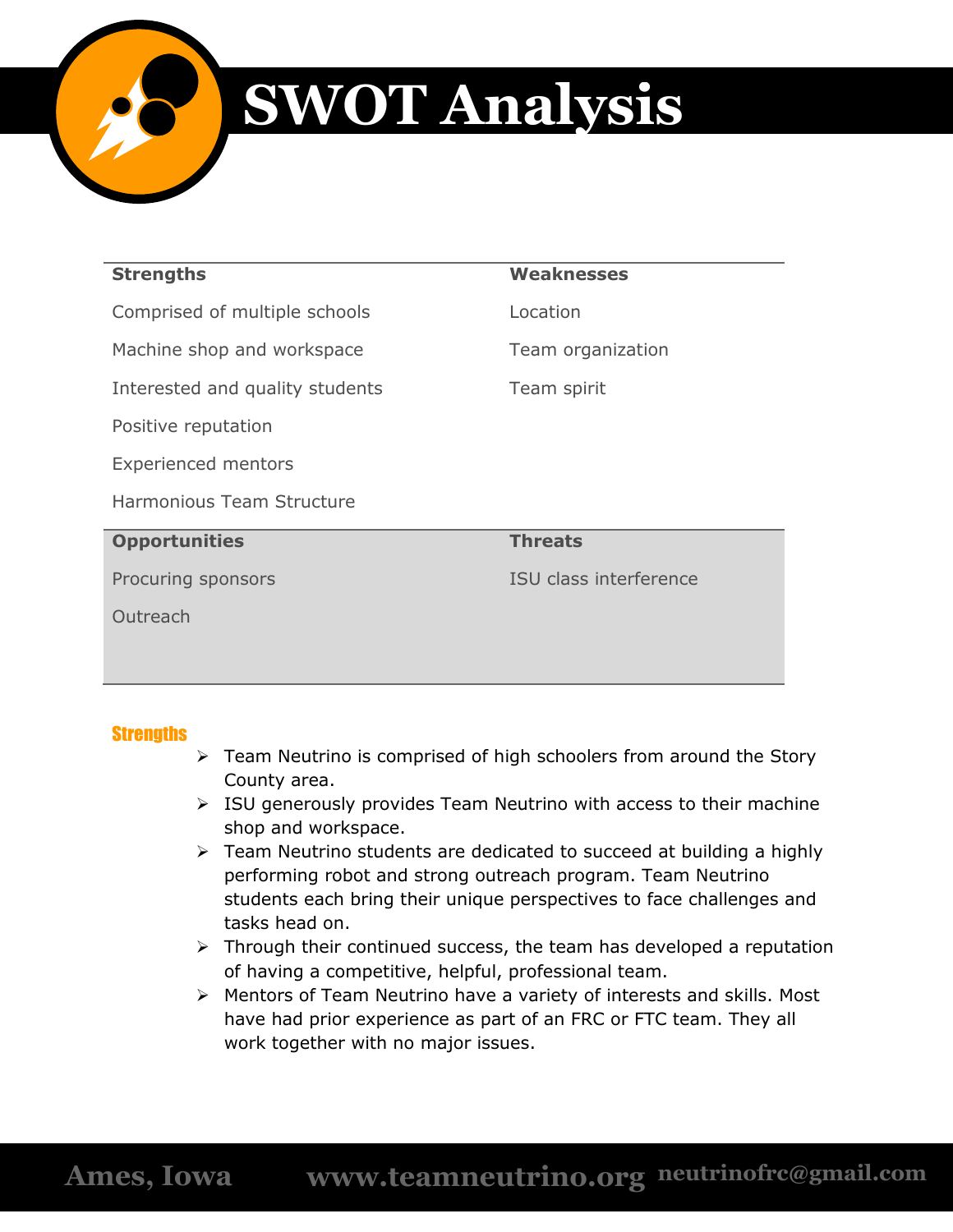

# **SWOT Analysis**

| <b>Strengths</b>                | <b>Weaknesses</b>      |  |  |
|---------------------------------|------------------------|--|--|
| Comprised of multiple schools   | Location               |  |  |
| Machine shop and workspace      | Team organization      |  |  |
| Interested and quality students | Team spirit            |  |  |
| Positive reputation             |                        |  |  |
| <b>Experienced mentors</b>      |                        |  |  |
| Harmonious Team Structure       |                        |  |  |
| <b>Opportunities</b>            | <b>Threats</b>         |  |  |
| Procuring sponsors              | ISU class interference |  |  |
| Outreach                        |                        |  |  |
|                                 |                        |  |  |
|                                 |                        |  |  |

#### **Strengths**

- $\triangleright$  Team Neutrino is comprised of high schoolers from around the Story County area.
- $\triangleright$  ISU generously provides Team Neutrino with access to their machine shop and workspace.
- $\triangleright$  Team Neutrino students are dedicated to succeed at building a highly performing robot and strong outreach program. Team Neutrino students each bring their unique perspectives to face challenges and tasks head on.
- $\triangleright$  Through their continued success, the team has developed a reputation of having a competitive, helpful, professional team.
- Mentors of Team Neutrino have a variety of interests and skills. Most have had prior experience as part of an FRC or FTC team. They all work together with no major issues.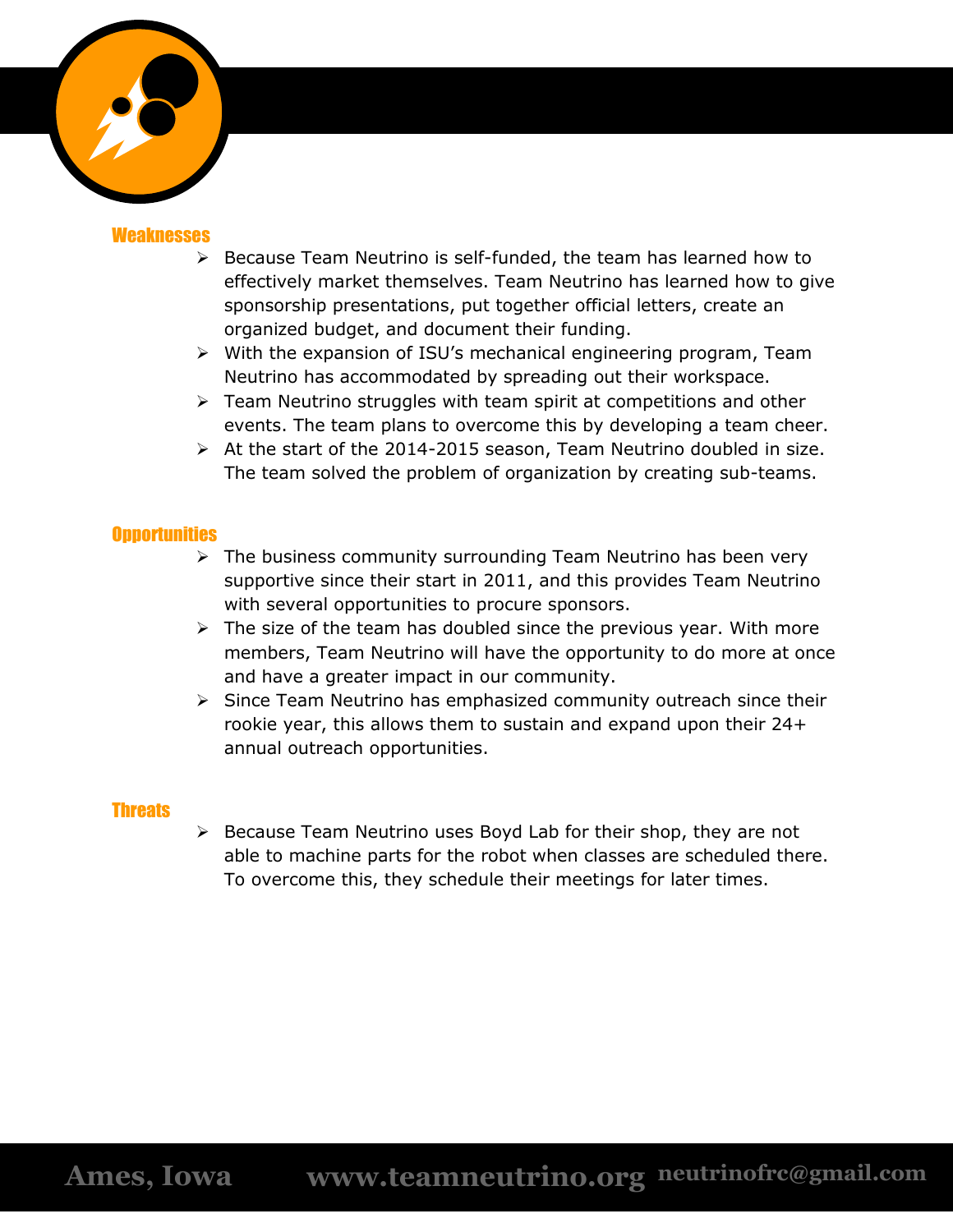

#### **Weaknesses**

- $\triangleright$  Because Team Neutrino is self-funded, the team has learned how to effectively market themselves. Team Neutrino has learned how to give sponsorship presentations, put together official letters, create an organized budget, and document their funding.
- $\triangleright$  With the expansion of ISU's mechanical engineering program, Team Neutrino has accommodated by spreading out their workspace.
- $\triangleright$  Team Neutrino struggles with team spirit at competitions and other events. The team plans to overcome this by developing a team cheer.
- $\triangleright$  At the start of the 2014-2015 season, Team Neutrino doubled in size. The team solved the problem of organization by creating sub-teams.

#### **Opportunities**

- $\triangleright$  The business community surrounding Team Neutrino has been very supportive since their start in 2011, and this provides Team Neutrino with several opportunities to procure sponsors.
- $\triangleright$  The size of the team has doubled since the previous year. With more members, Team Neutrino will have the opportunity to do more at once and have a greater impact in our community.
- $\triangleright$  Since Team Neutrino has emphasized community outreach since their rookie year, this allows them to sustain and expand upon their 24+ annual outreach opportunities.

#### **Threats**

 $\triangleright$  Because Team Neutrino uses Boyd Lab for their shop, they are not able to machine parts for the robot when classes are scheduled there. To overcome this, they schedule their meetings for later times.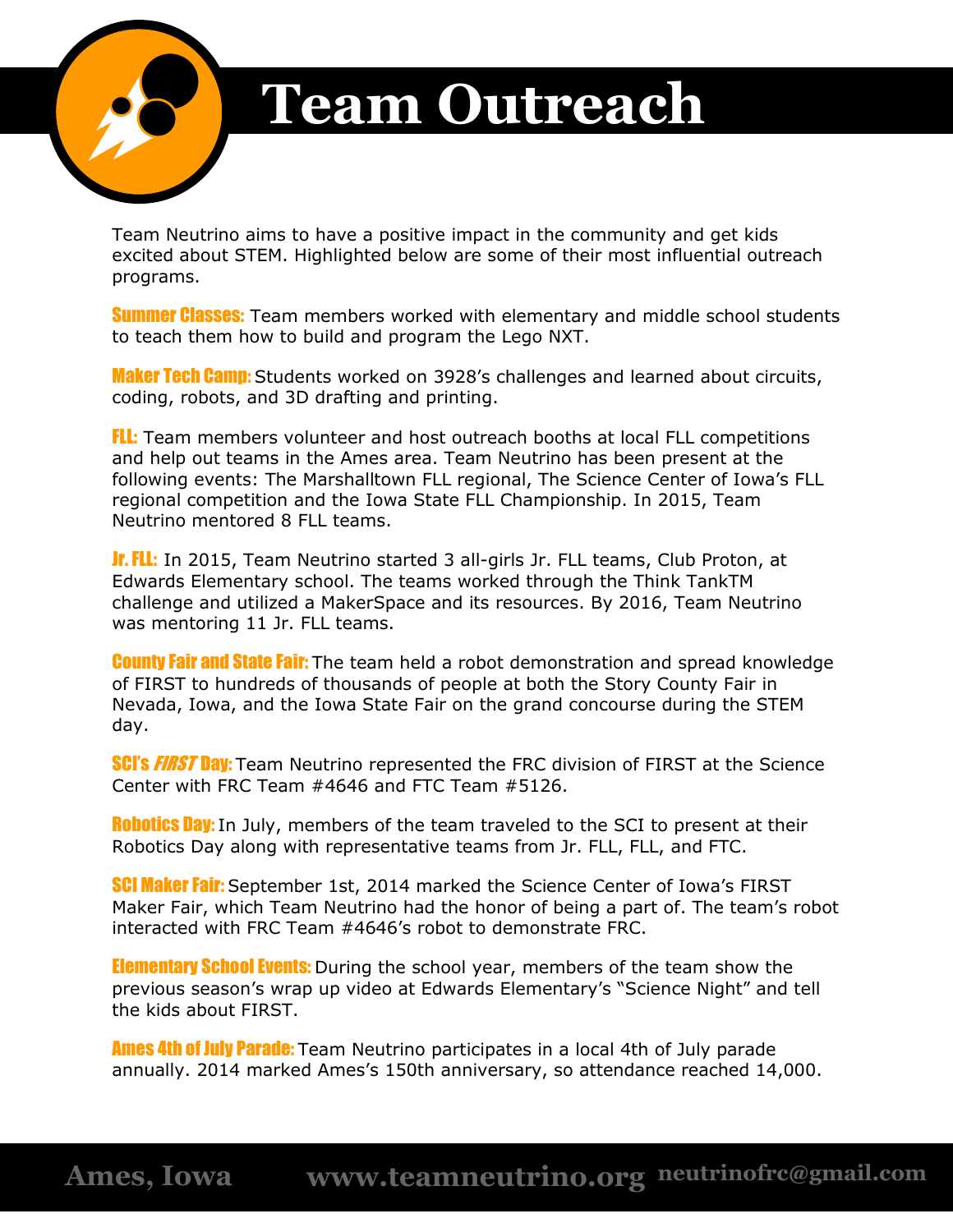

# **Team Outreach**

Team Neutrino aims to have a positive impact in the community and get kids excited about STEM. Highlighted below are some of their most influential outreach programs.

**Summer Classes:** Team members worked with elementary and middle school students to teach them how to build and program the Lego NXT.

**Maker Tech Camp:** Students worked on 3928's challenges and learned about circuits, coding, robots, and 3D drafting and printing.

FLL: Team members volunteer and host outreach booths at local FLL competitions and help out teams in the Ames area. Team Neutrino has been present at the following events: The Marshalltown FLL regional, The Science Center of Iowa's FLL regional competition and the Iowa State FLL Championship. In 2015, Team Neutrino mentored 8 FLL teams.

**Jr. FLL:** In 2015, Team Neutrino started 3 all-girls Jr. FLL teams, Club Proton, at Edwards Elementary school. The teams worked through the Think TankTM challenge and utilized a MakerSpace and its resources. By 2016, Team Neutrino was mentoring 11 Jr. FLL teams.

**County Fair and State Fair:** The team held a robot demonstration and spread knowledge of FIRST to hundreds of thousands of people at both the Story County Fair in Nevada, Iowa, and the Iowa State Fair on the grand concourse during the STEM day.

**SCI's FIRST Day:** Team Neutrino represented the FRC division of FIRST at the Science Center with FRC Team #4646 and FTC Team #5126.

**Robotics Day:** In July, members of the team traveled to the SCI to present at their Robotics Day along with representative teams from Jr. FLL, FLL, and FTC.

**SCI Maker Fair:** September 1st, 2014 marked the Science Center of Iowa's FIRST Maker Fair, which Team Neutrino had the honor of being a part of. The team's robot interacted with FRC Team #4646's robot to demonstrate FRC.

**Elementary School Events:** During the school year, members of the team show the previous season's wrap up video at Edwards Elementary's "Science Night" and tell the kids about FIRST.

**Ames 4th of July Parade:** Team Neutrino participates in a local 4th of July parade annually. 2014 marked Ames's 150th anniversary, so attendance reached 14,000.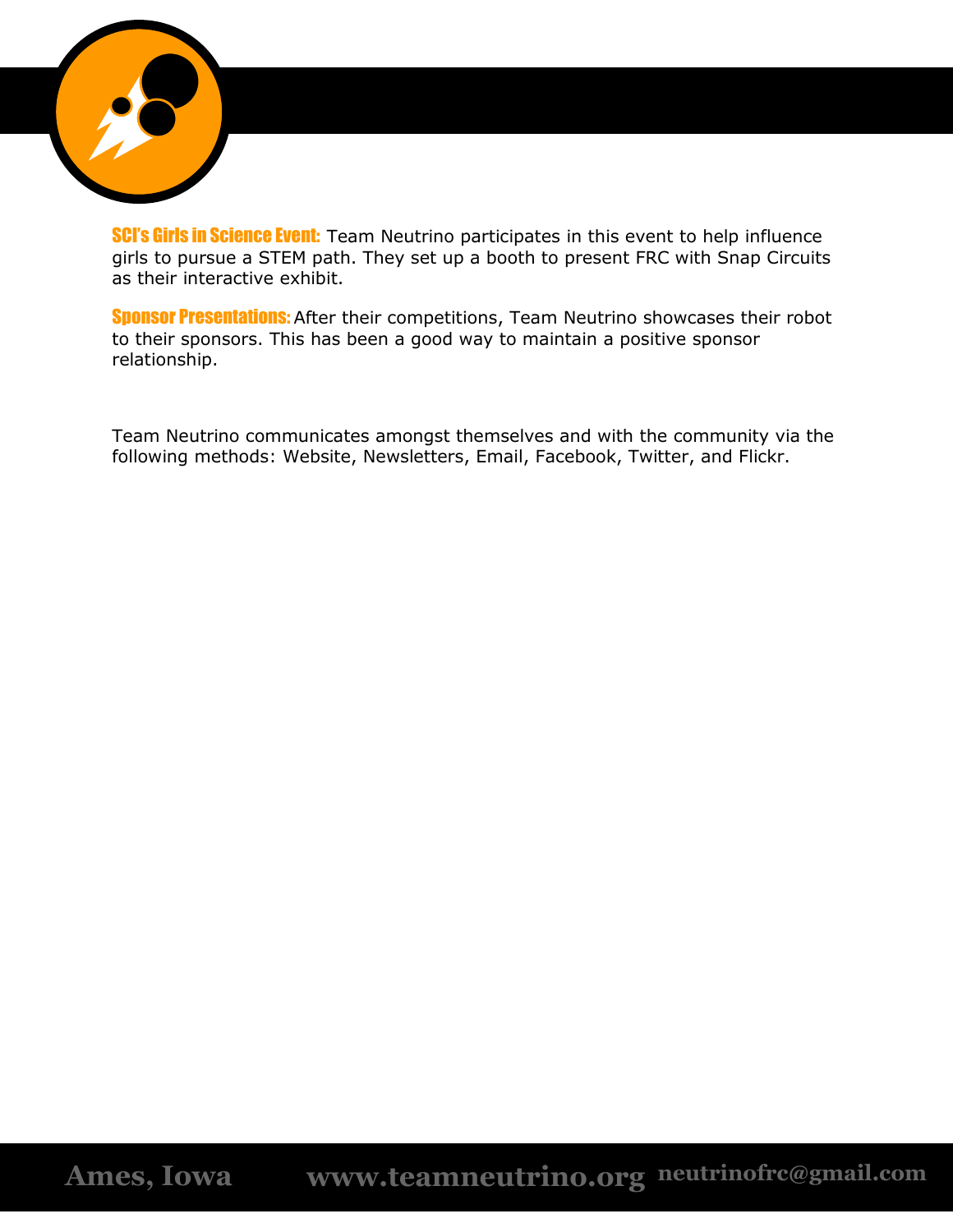

**SCI's Girls in Science Event:** Team Neutrino participates in this event to help influence girls to pursue a STEM path. They set up a booth to present FRC with Snap Circuits as their interactive exhibit.

**Sponsor Presentations:** After their competitions, Team Neutrino showcases their robot to their sponsors. This has been a good way to maintain a positive sponsor relationship.

Team Neutrino communicates amongst themselves and with the community via the following methods: Website, Newsletters, Email, Facebook, Twitter, and Flickr.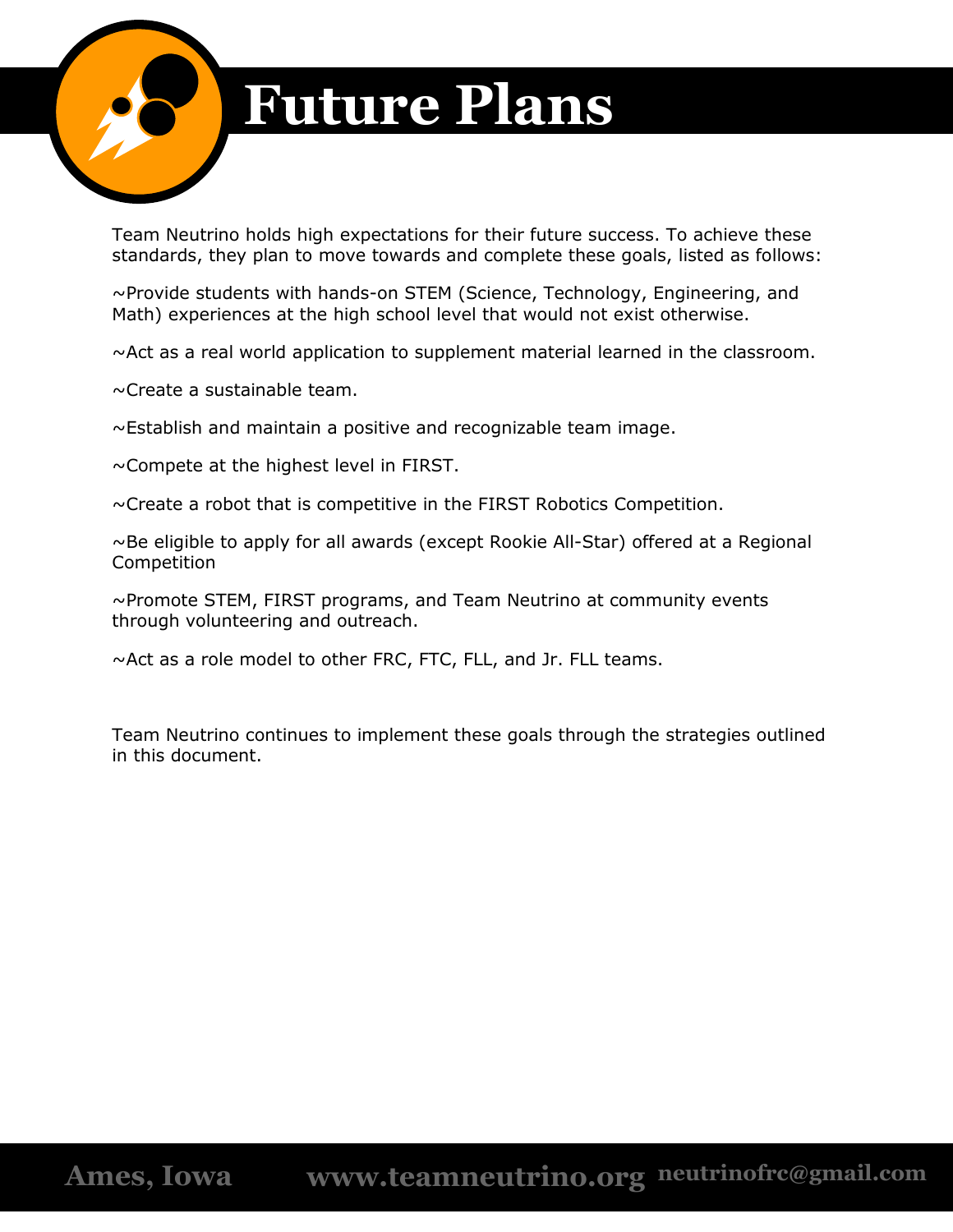

# **Future Plans**

Team Neutrino holds high expectations for their future success. To achieve these standards, they plan to move towards and complete these goals, listed as follows:

~Provide students with hands-on STEM (Science, Technology, Engineering, and Math) experiences at the high school level that would not exist otherwise.

 $\sim$ Act as a real world application to supplement material learned in the classroom.

~Create a sustainable team.

~Establish and maintain a positive and recognizable team image.

 $\sim$  Compete at the highest level in FIRST.

~Create a robot that is competitive in the FIRST Robotics Competition.

 $\sim$ Be eligible to apply for all awards (except Rookie All-Star) offered at a Regional Competition

~Promote STEM, FIRST programs, and Team Neutrino at community events through volunteering and outreach.

~Act as a role model to other FRC, FTC, FLL, and Jr. FLL teams.

Team Neutrino continues to implement these goals through the strategies outlined in this document.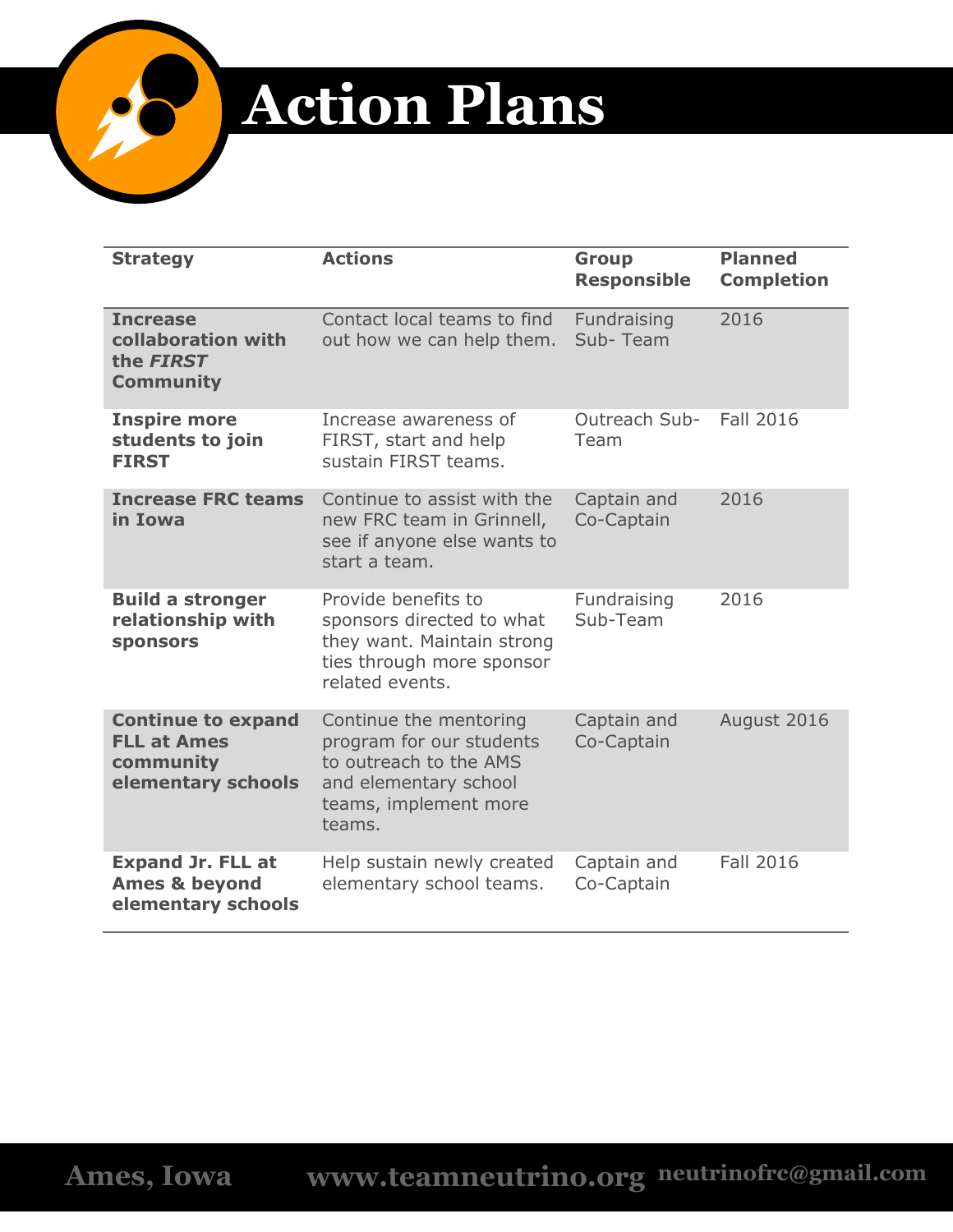

# **Action Plans**

| <b>Strategy</b>                                                                    | <b>Actions</b>                                                                                                                           | <b>Group</b><br><b>Responsible</b> | <b>Planned</b><br><b>Completion</b> |
|------------------------------------------------------------------------------------|------------------------------------------------------------------------------------------------------------------------------------------|------------------------------------|-------------------------------------|
| <b>Increase</b><br>collaboration with<br>the FIRST<br><b>Community</b>             | Contact local teams to find<br>out how we can help them.                                                                                 | Fundraising<br>Sub-Team            | 2016                                |
| <b>Inspire more</b><br>students to join<br><b>FIRST</b>                            | Increase awareness of<br>FIRST, start and help<br>sustain FIRST teams.                                                                   | Outreach Sub-<br>Team              | <b>Fall 2016</b>                    |
| <b>Increase FRC teams</b><br>in Iowa                                               | Continue to assist with the<br>new FRC team in Grinnell,<br>see if anyone else wants to<br>start a team.                                 | Captain and<br>Co-Captain          | 2016                                |
| <b>Build a stronger</b><br>relationship with<br><b>sponsors</b>                    | Provide benefits to<br>sponsors directed to what<br>they want. Maintain strong<br>ties through more sponsor<br>related events.           | Fundraising<br>Sub-Team            | 2016                                |
| <b>Continue to expand</b><br><b>FLL at Ames</b><br>community<br>elementary schools | Continue the mentoring<br>program for our students<br>to outreach to the AMS<br>and elementary school<br>teams, implement more<br>teams. | Captain and<br>Co-Captain          | August 2016                         |
| <b>Expand Jr. FLL at</b><br><b>Ames &amp; beyond</b><br>elementary schools         | Help sustain newly created<br>elementary school teams.                                                                                   | Captain and<br>Co-Captain          | <b>Fall 2016</b>                    |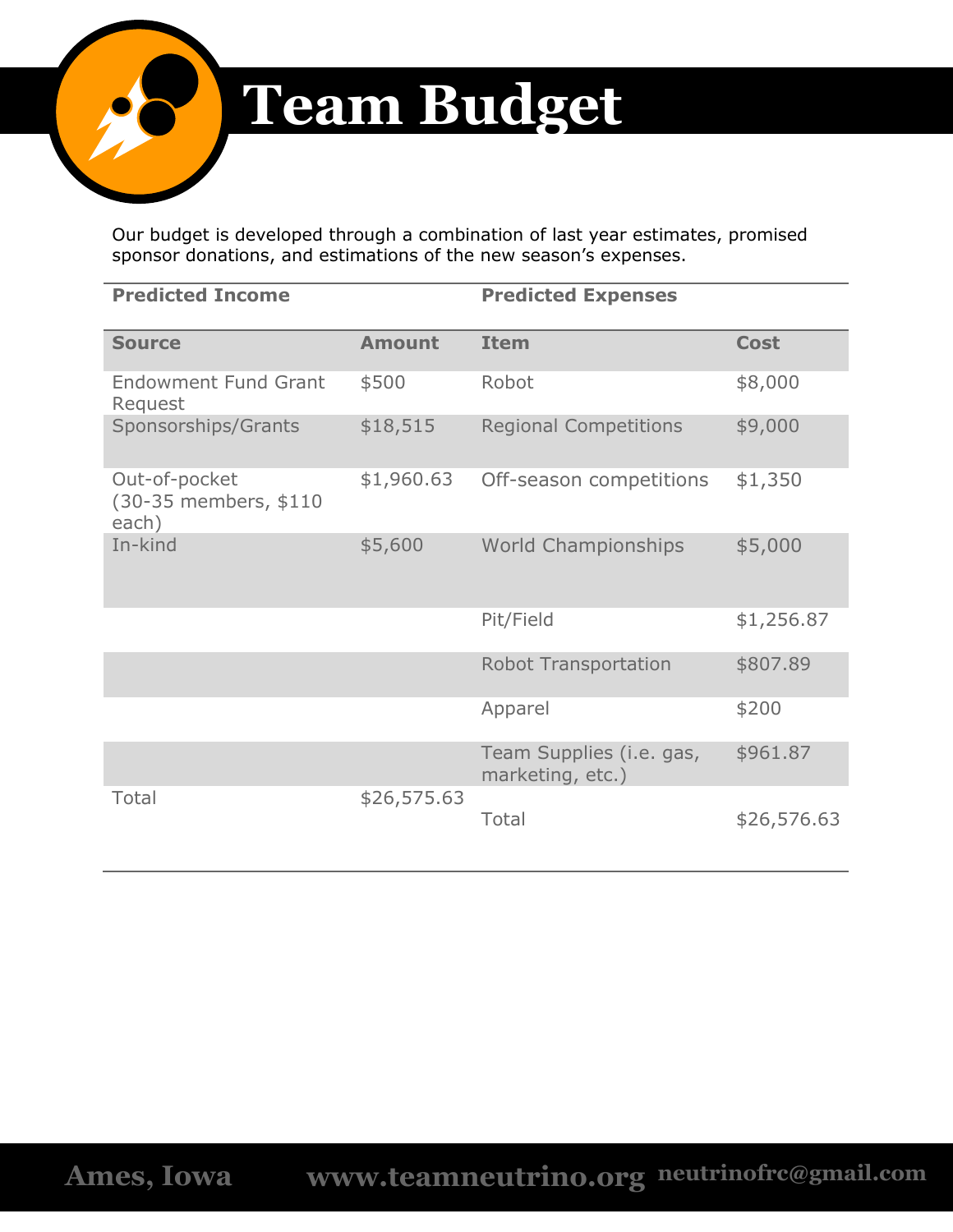

# **Team Budget**

Our budget is developed through a combination of last year estimates, promised sponsor donations, and estimations of the new season's expenses.

| <b>Predicted Income</b>                         |               | <b>Predicted Expenses</b>                    |             |
|-------------------------------------------------|---------------|----------------------------------------------|-------------|
| <b>Source</b>                                   | <b>Amount</b> | <b>Item</b>                                  | <b>Cost</b> |
| <b>Endowment Fund Grant</b><br>Request          | \$500         | Robot                                        | \$8,000     |
| Sponsorships/Grants                             | \$18,515      | <b>Regional Competitions</b>                 | \$9,000     |
| Out-of-pocket<br>(30-35 members, \$110<br>each) | \$1,960.63    | Off-season competitions                      | \$1,350     |
| In-kind                                         | \$5,600       | <b>World Championships</b>                   | \$5,000     |
|                                                 |               | Pit/Field                                    | \$1,256.87  |
|                                                 |               | <b>Robot Transportation</b>                  | \$807.89    |
|                                                 |               | Apparel                                      | \$200       |
|                                                 |               | Team Supplies (i.e. gas,<br>marketing, etc.) | \$961.87    |
| Total                                           | \$26,575.63   | Total                                        | \$26,576.63 |

**Ames, Iowa www.teamneutrino.org neutrinofrc@gmail.com**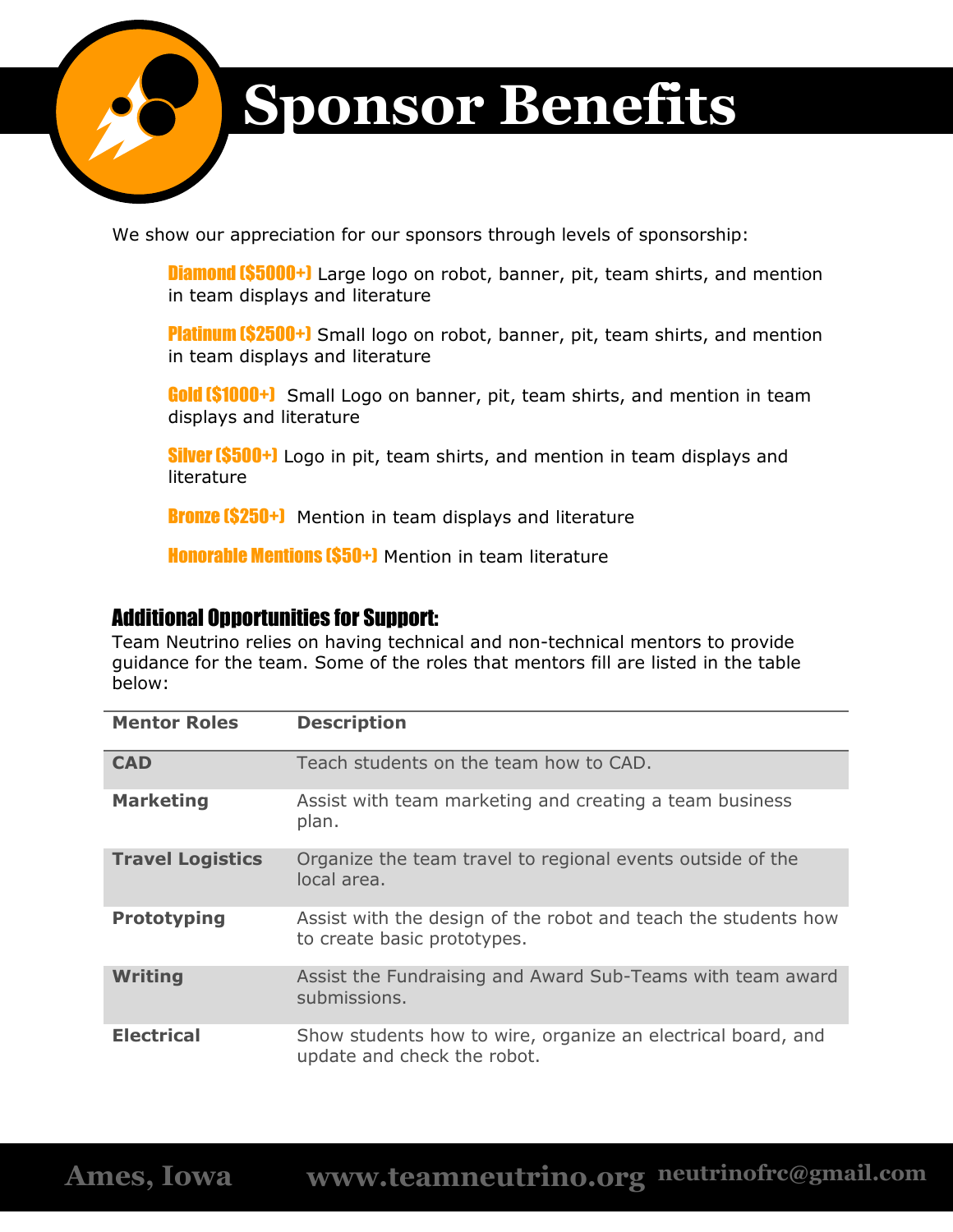

# **Sponsor Benefits**

We show our appreciation for our sponsors through levels of sponsorship:

**Diamond (\$5000+)** Large logo on robot, banner, pit, team shirts, and mention in team displays and literature

**Platinum (\$2500+)** Small logo on robot, banner, pit, team shirts, and mention in team displays and literature

**Gold (\$1000+)** Small Logo on banner, pit, team shirts, and mention in team displays and literature

**Silver (\$500+)** Logo in pit, team shirts, and mention in team displays and literature

**Bronze (\$250+)** Mention in team displays and literature

**Honorable Mentions (\$50+)** Mention in team literature

#### Additional Opportunities for Support:

Team Neutrino relies on having technical and non-technical mentors to provide guidance for the team. Some of the roles that mentors fill are listed in the table below:

| <b>Mentor Roles</b>     | <b>Description</b>                                                                            |
|-------------------------|-----------------------------------------------------------------------------------------------|
| <b>CAD</b>              | Teach students on the team how to CAD.                                                        |
| <b>Marketing</b>        | Assist with team marketing and creating a team business<br>plan.                              |
| <b>Travel Logistics</b> | Organize the team travel to regional events outside of the<br>local area.                     |
| <b>Prototyping</b>      | Assist with the design of the robot and teach the students how<br>to create basic prototypes. |
| <b>Writing</b>          | Assist the Fundraising and Award Sub-Teams with team award<br>submissions.                    |
| <b>Electrical</b>       | Show students how to wire, organize an electrical board, and<br>update and check the robot.   |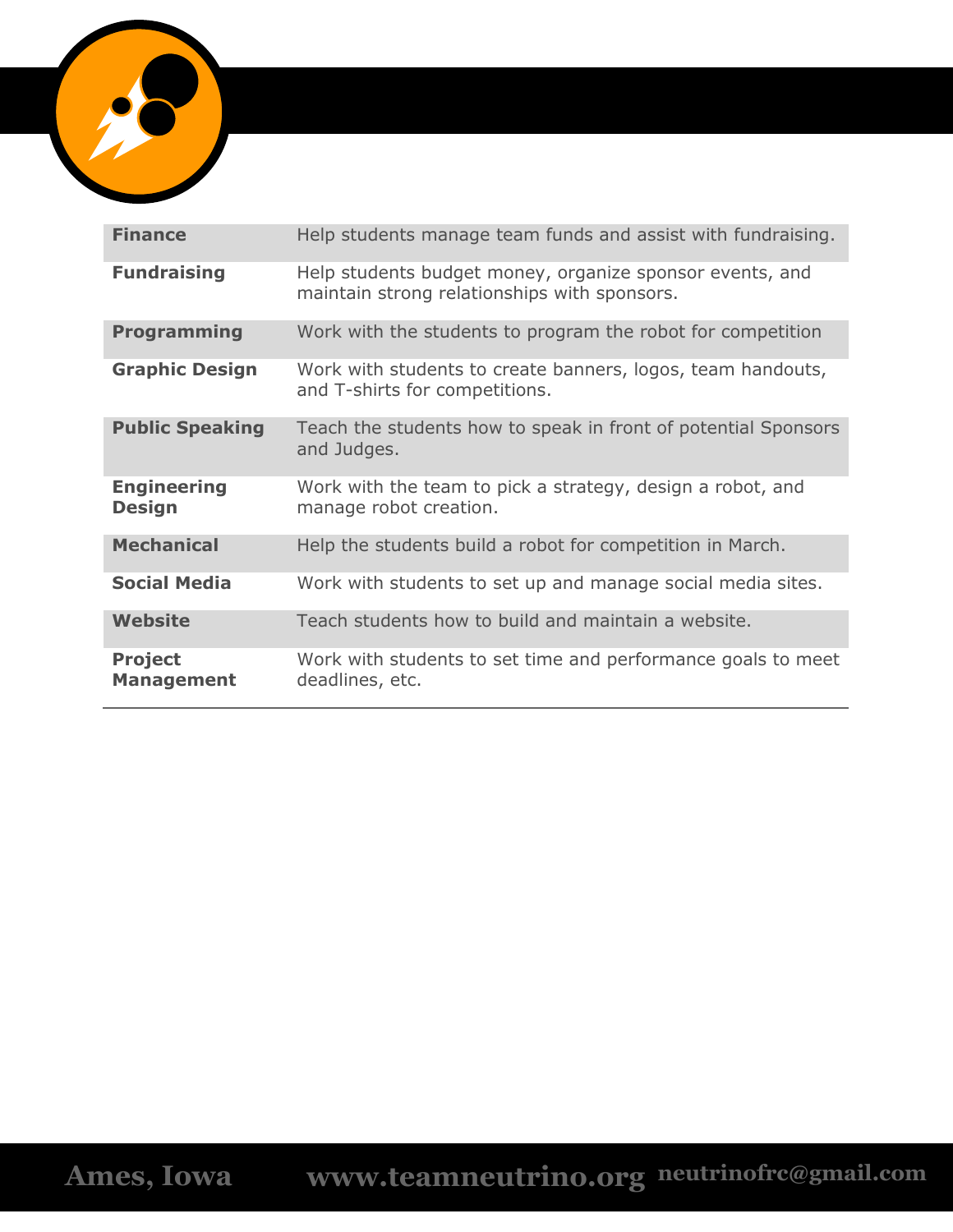

| <b>Finance</b>                      | Help students manage team funds and assist with fundraising.                                             |
|-------------------------------------|----------------------------------------------------------------------------------------------------------|
| <b>Fundraising</b>                  | Help students budget money, organize sponsor events, and<br>maintain strong relationships with sponsors. |
| <b>Programming</b>                  | Work with the students to program the robot for competition                                              |
| <b>Graphic Design</b>               | Work with students to create banners, logos, team handouts,<br>and T-shirts for competitions.            |
| <b>Public Speaking</b>              | Teach the students how to speak in front of potential Sponsors<br>and Judges.                            |
| <b>Engineering</b><br><b>Design</b> | Work with the team to pick a strategy, design a robot, and<br>manage robot creation.                     |
| <b>Mechanical</b>                   | Help the students build a robot for competition in March.                                                |
| <b>Social Media</b>                 | Work with students to set up and manage social media sites.                                              |
| <b>Website</b>                      | Teach students how to build and maintain a website.                                                      |
| <b>Project</b><br><b>Management</b> | Work with students to set time and performance goals to meet<br>deadlines, etc.                          |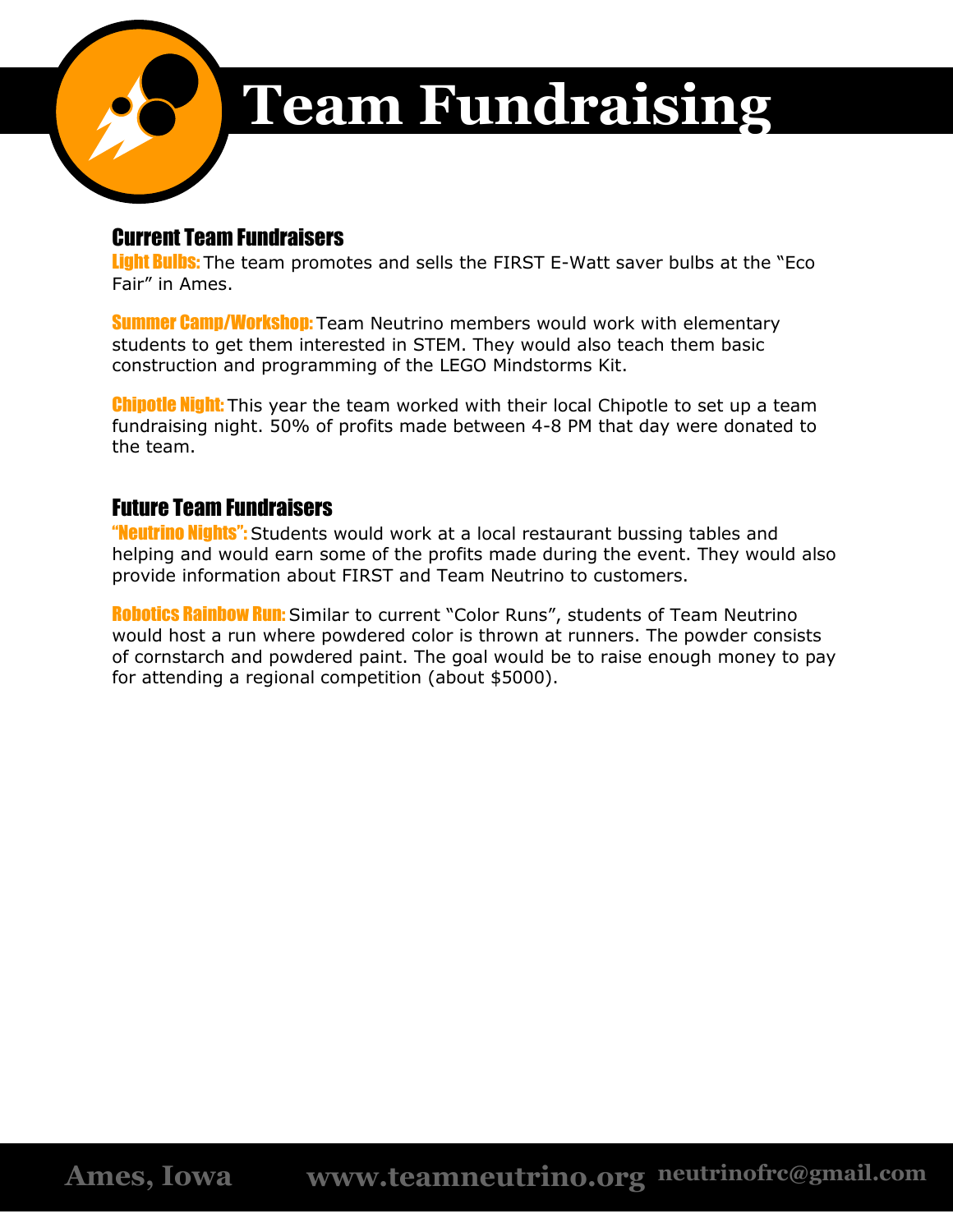

# **Team Fundraising**

# Current Team Fundraisers

Light Bulbs: The team promotes and sells the FIRST E-Watt saver bulbs at the "Eco Fair" in Ames.

**Summer Camp/Workshop:** Team Neutrino members would work with elementary students to get them interested in STEM. They would also teach them basic construction and programming of the LEGO Mindstorms Kit.

**Chipotle Night:** This year the team worked with their local Chipotle to set up a team fundraising night. 50% of profits made between 4-8 PM that day were donated to the team.

# Future Team Fundraisers

"Neutrino Nights": Students would work at a local restaurant bussing tables and helping and would earn some of the profits made during the event. They would also provide information about FIRST and Team Neutrino to customers.

**Robotics Rainbow Run:** Similar to current "Color Runs", students of Team Neutrino would host a run where powdered color is thrown at runners. The powder consists of cornstarch and powdered paint. The goal would be to raise enough money to pay for attending a regional competition (about \$5000).